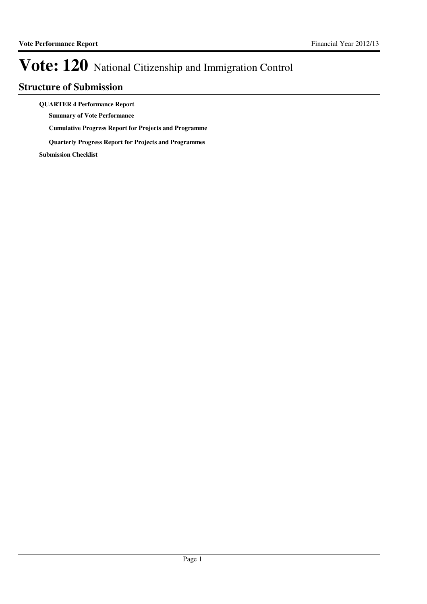### **Structure of Submission**

**QUARTER 4 Performance Report**

**Summary of Vote Performance**

**Cumulative Progress Report for Projects and Programme**

**Quarterly Progress Report for Projects and Programmes**

**Submission Checklist**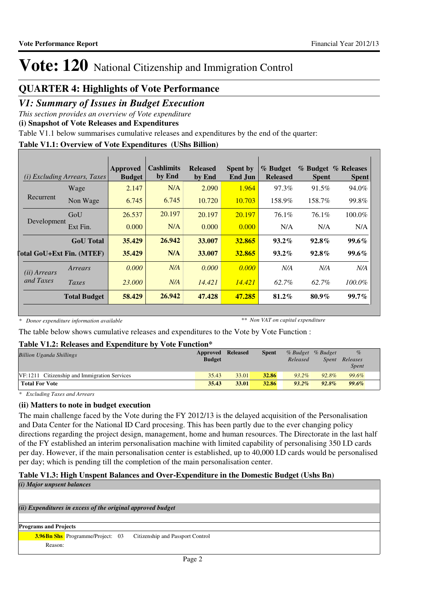### **QUARTER 4: Highlights of Vote Performance**

### *V1: Summary of Issues in Budget Execution*

*This section provides an overview of Vote expenditure*

**(i) Snapshot of Vote Releases and Expenditures**

Table V1.1 below summarises cumulative releases and expenditures by the end of the quarter:

#### **Table V1.1: Overview of Vote Expenditures (UShs Billion)**

|                                  | <i>(i)</i> Excluding Arrears, Taxes | Approved<br><b>Budget</b> | <b>Cashlimits</b><br>by End | <b>Released</b><br>by End | <b>Spent by</b><br>End Jun | % Budget<br><b>Released</b> | <b>Spent</b> | % Budget % Releases<br><b>Spent</b> |
|----------------------------------|-------------------------------------|---------------------------|-----------------------------|---------------------------|----------------------------|-----------------------------|--------------|-------------------------------------|
| Recurrent                        | Wage                                | 2.147                     | N/A                         | 2.090                     | 1.964                      | 97.3%                       | 91.5%        | 94.0%                               |
|                                  | Non Wage                            | 6.745                     | 6.745                       | 10.720                    | 10.703                     | 158.9%                      | 158.7%       | 99.8%                               |
| Development                      | GoU                                 | 26.537                    | 20.197                      | 20.197                    | 20.197                     | 76.1%                       | $76.1\%$     | 100.0%                              |
|                                  | Ext Fin.                            | 0.000                     | N/A                         | 0.000                     | 0.000                      | N/A                         | N/A          | N/A                                 |
|                                  | <b>GoU</b> Total                    | 35.429                    | 26.942                      | 33.007                    | 32.865                     | $93.2\%$                    | $92.8\%$     | $99.6\%$                            |
| <b>Total GoU+Ext Fin. (MTEF)</b> |                                     | 35.429                    | N/A                         | 33.007                    | 32.865                     | $93.2\%$                    | $92.8\%$     | $99.6\%$                            |
| ( <i>ii</i> ) Arrears            | Arrears                             | 0.000                     | N/A                         | 0.000                     | 0.000                      | N/A                         | N/A          | N/A                                 |
| and Taxes                        | Taxes                               | 23,000                    | N/A                         | 14.421                    | 14.421                     | 62.7%                       | 62.7%        | 100.0%                              |
|                                  | <b>Total Budget</b>                 | 58.429                    | 26.942                      | 47.428                    | 47.285                     | 81.2%                       | $80.9\%$     | $99.7\%$                            |

*\* Donor expenditure information available*

*\*\* Non VAT on capital expenditure*

The table below shows cumulative releases and expenditures to the Vote by Vote Function :

#### **Table V1.2: Releases and Expenditure by Vote Function\***

| <b>Billion Uganda Shillings</b>              | <b>Approved Released</b><br><b>Budget</b> |       | Spent | % Budget % Budget<br>Released | Spent    | $\%$<br>Releases<br><i>Spent</i> |
|----------------------------------------------|-------------------------------------------|-------|-------|-------------------------------|----------|----------------------------------|
| VF:1211 Citizenship and Immigration Services | 35.43                                     | 33.01 | 32.86 | $93.2\%$                      | 92.8%    | 99.6%                            |
| <b>Total For Vote</b>                        | 35.43                                     | 33.01 | 32.86 | $93.2\%$                      | $92.8\%$ | 99.6%                            |

*\* Excluding Taxes and Arrears*

#### **(ii) Matters to note in budget execution**

The main challenge faced by the Vote during the FY 2012/13 is the delayed acquisition of the Personalisation and Data Center for the National ID Card procesing. This has been partly due to the ever changing policy directions regarding the project design, management, home and human resources. The Directorate in the last half of the FY established an interim personalisation machine with limited capability of personalising 350 I.D cards per day. However, if the main personalisation center is established, up to 40,000 I.D cards would be personalised per day; which is pending till the completion of the main personalisation center.

## **Table V1.3: High Unspent Balances and Over-Expenditure in the Domestic Budget (Ushs Bn)**

```
(ii) Expenditures in excess of the original approved budget
(i) Major unpsent balances
Programs and Projects
     3.96Bn Shs Programme/Project: 03 Citizenship and Passport Control
          Reason:
```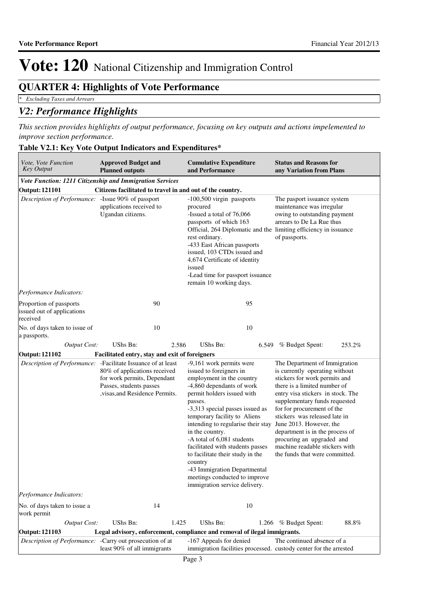## **QUARTER 4: Highlights of Vote Performance**

*\* Excluding Taxes and Arrears*

### *V2: Performance Highlights*

*This section provides highlights of output performance, focusing on key outputs and actions impelemented to improve section performance.*

| Vote, Vote Function<br><b>Key Output</b>                          | <b>Approved Budget and</b><br><b>Cumulative Expenditure</b><br>and Performance<br><b>Planned outputs</b>                                                                                   |                                                                                                                                                                                                                                                                                                                                                                                                                                                                                                                               | <b>Status and Reasons for</b><br>any Variation from Plans                                                                                                                                                                                                                                                                                                                                                 |  |  |
|-------------------------------------------------------------------|--------------------------------------------------------------------------------------------------------------------------------------------------------------------------------------------|-------------------------------------------------------------------------------------------------------------------------------------------------------------------------------------------------------------------------------------------------------------------------------------------------------------------------------------------------------------------------------------------------------------------------------------------------------------------------------------------------------------------------------|-----------------------------------------------------------------------------------------------------------------------------------------------------------------------------------------------------------------------------------------------------------------------------------------------------------------------------------------------------------------------------------------------------------|--|--|
|                                                                   | Vote Function: 1211 Citizenship and Immigration Services                                                                                                                                   |                                                                                                                                                                                                                                                                                                                                                                                                                                                                                                                               |                                                                                                                                                                                                                                                                                                                                                                                                           |  |  |
| <b>Output: 121101</b>                                             | Citizens facilitated to travel in and out of the country.                                                                                                                                  |                                                                                                                                                                                                                                                                                                                                                                                                                                                                                                                               |                                                                                                                                                                                                                                                                                                                                                                                                           |  |  |
| Description of Performance: -Issue 90% of passport                | applications received to<br>Ugandan citizens.                                                                                                                                              | -100,500 virgin passports<br>The pasport issuance system<br>maintenance was irregular<br>procured<br>-Issued a total of 76,066<br>owing to outstanding payment<br>arrears to De La Rue thus<br>passports of which 163<br>Official, 264 Diplomatic and the limiting efficiency in issuance<br>of passports.<br>rest ordinary.<br>-433 East African passports<br>issued, 103 CTDs issued and<br>4,674 Certificate of identity<br>issued<br>-Lead time for passport issuance<br>remain 10 working days.                          |                                                                                                                                                                                                                                                                                                                                                                                                           |  |  |
| Performance Indicators:                                           |                                                                                                                                                                                            |                                                                                                                                                                                                                                                                                                                                                                                                                                                                                                                               |                                                                                                                                                                                                                                                                                                                                                                                                           |  |  |
| Proportion of passports<br>issued out of applications<br>received | 90                                                                                                                                                                                         | 95                                                                                                                                                                                                                                                                                                                                                                                                                                                                                                                            |                                                                                                                                                                                                                                                                                                                                                                                                           |  |  |
| No. of days taken to issue of<br>a passports.                     | 10                                                                                                                                                                                         | 10                                                                                                                                                                                                                                                                                                                                                                                                                                                                                                                            |                                                                                                                                                                                                                                                                                                                                                                                                           |  |  |
| <b>Output Cost:</b>                                               | <b>UShs Bn:</b><br>2.586                                                                                                                                                                   | <b>UShs Bn:</b>                                                                                                                                                                                                                                                                                                                                                                                                                                                                                                               | 253.2%<br>6.549 % Budget Spent:                                                                                                                                                                                                                                                                                                                                                                           |  |  |
| <b>Output: 121102</b>                                             | Facilitated entry, stay and exit of foreigners                                                                                                                                             |                                                                                                                                                                                                                                                                                                                                                                                                                                                                                                                               |                                                                                                                                                                                                                                                                                                                                                                                                           |  |  |
|                                                                   | Description of Performance: - Facilitate Issuance of at least<br>80% of applications received<br>for work permits, Dependant<br>Passes, students passes<br>, visas, and Residence Permits. | -9,161 work permits were<br>issued to foreigners in<br>employment in the country<br>-4,860 dependants of work<br>permit holders issued with<br>passes.<br>-3,313 special passes issued as<br>temporary facility to Aliens<br>intending to regularise their stay June 2013. However, the<br>in the country.<br>-A total of 6,081 students<br>facilitated with students passes<br>to facilitate their study in the<br>country<br>-43 Immigration Departmental<br>meetings conducted to improve<br>immigration service delivery. | The Department of Immigration<br>is currently operating without<br>stickers for work permits and<br>there is a limited number of<br>entry visa stickers in stock. The<br>supplementary funds requested<br>for for procurement of the<br>stickers was released late in<br>department is in the process of<br>procuring an upgraded and<br>machine readable stickers with<br>the funds that were committed. |  |  |
| Performance Indicators:                                           |                                                                                                                                                                                            |                                                                                                                                                                                                                                                                                                                                                                                                                                                                                                                               |                                                                                                                                                                                                                                                                                                                                                                                                           |  |  |
| No. of days taken to issue a<br>work permit                       | 14                                                                                                                                                                                         | 10                                                                                                                                                                                                                                                                                                                                                                                                                                                                                                                            |                                                                                                                                                                                                                                                                                                                                                                                                           |  |  |
| <b>Output Cost:</b>                                               | <b>UShs Bn:</b><br>1.425                                                                                                                                                                   | <b>UShs Bn:</b>                                                                                                                                                                                                                                                                                                                                                                                                                                                                                                               | 88.8%<br>1.266 % Budget Spent:                                                                                                                                                                                                                                                                                                                                                                            |  |  |
| <b>Output: 121103</b>                                             |                                                                                                                                                                                            | Legal advisory, enforcement, compliance and removal of ilegal immigrants.                                                                                                                                                                                                                                                                                                                                                                                                                                                     |                                                                                                                                                                                                                                                                                                                                                                                                           |  |  |
| Description of Performance: - Carry out prosecution of at         | least 90% of all immigrants                                                                                                                                                                | -167 Appeals for denied<br>immigration facilities processed. custody center for the arrested                                                                                                                                                                                                                                                                                                                                                                                                                                  | The continued absence of a                                                                                                                                                                                                                                                                                                                                                                                |  |  |

#### **Table V2.1: Key Vote Output Indicators and Expenditures\***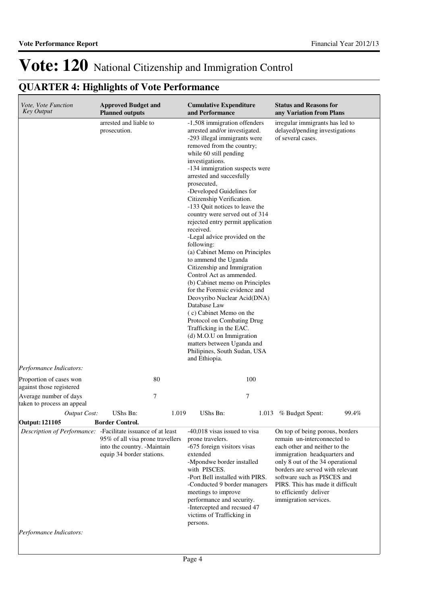## **QUARTER 4: Highlights of Vote Performance**

| Vote, Vote Function<br><b>Key Output</b>             | <b>Approved Budget and</b><br><b>Planned outputs</b>                                                                                                                                                                                                                                                                                                                                                                                                                     | <b>Cumulative Expenditure</b><br>and Performance                                                                                                                                                                                                                                                                                                                                                                                                                                                                                                                                                                                                                                                                                                                                                                                                                                                                          | <b>Status and Reasons for</b><br>any Variation from Plans                                                                                                                                                                                                                                                                     |  |  |
|------------------------------------------------------|--------------------------------------------------------------------------------------------------------------------------------------------------------------------------------------------------------------------------------------------------------------------------------------------------------------------------------------------------------------------------------------------------------------------------------------------------------------------------|---------------------------------------------------------------------------------------------------------------------------------------------------------------------------------------------------------------------------------------------------------------------------------------------------------------------------------------------------------------------------------------------------------------------------------------------------------------------------------------------------------------------------------------------------------------------------------------------------------------------------------------------------------------------------------------------------------------------------------------------------------------------------------------------------------------------------------------------------------------------------------------------------------------------------|-------------------------------------------------------------------------------------------------------------------------------------------------------------------------------------------------------------------------------------------------------------------------------------------------------------------------------|--|--|
| arrested and liable to<br>prosecution.               |                                                                                                                                                                                                                                                                                                                                                                                                                                                                          | -1,508 immigration offenders<br>arrested and/or investigated.<br>-293 illegal immigrants were<br>removed from the country;<br>while 60 still pending<br>investigations.<br>-134 immigration suspects were<br>arrested and succesfully<br>prosecuted,<br>-Developed Guidelines for<br>Citizenship Verification.<br>-133 Quit notices to leave the<br>country were served out of 314<br>rejected entry permit application<br>received.<br>-Legal advice provided on the<br>following:<br>(a) Cabinet Memo on Principles<br>to ammend the Uganda<br>Citizenship and Immigration<br>Control Act as ammended.<br>(b) Cabinet memo on Principles<br>for the Forensic evidence and<br>Deovyribo Nuclear Acid(DNA)<br>Database Law<br>(c) Cabinet Memo on the<br>Protocol on Combating Drug<br>Trafficking in the EAC.<br>(d) M.O.U on Immigration<br>matters between Uganda and<br>Philipines, South Sudan, USA<br>and Ethiopia. | irregular immigrants has led to<br>delayed/pending investigations<br>of several cases.                                                                                                                                                                                                                                        |  |  |
| Performance Indicators:                              |                                                                                                                                                                                                                                                                                                                                                                                                                                                                          |                                                                                                                                                                                                                                                                                                                                                                                                                                                                                                                                                                                                                                                                                                                                                                                                                                                                                                                           |                                                                                                                                                                                                                                                                                                                               |  |  |
| Proportion of cases won<br>against those registered  | 80                                                                                                                                                                                                                                                                                                                                                                                                                                                                       | 100                                                                                                                                                                                                                                                                                                                                                                                                                                                                                                                                                                                                                                                                                                                                                                                                                                                                                                                       |                                                                                                                                                                                                                                                                                                                               |  |  |
| Average number of days<br>taken to process an appeal | 7                                                                                                                                                                                                                                                                                                                                                                                                                                                                        | 7                                                                                                                                                                                                                                                                                                                                                                                                                                                                                                                                                                                                                                                                                                                                                                                                                                                                                                                         |                                                                                                                                                                                                                                                                                                                               |  |  |
| <b>Output Cost:</b>                                  | UShs Bn:<br>1.019                                                                                                                                                                                                                                                                                                                                                                                                                                                        | UShs Bn:                                                                                                                                                                                                                                                                                                                                                                                                                                                                                                                                                                                                                                                                                                                                                                                                                                                                                                                  | 99.4%<br>1.013 % Budget Spent:                                                                                                                                                                                                                                                                                                |  |  |
| Output: 121105                                       | <b>Border Control.</b>                                                                                                                                                                                                                                                                                                                                                                                                                                                   | -40,018 visas issued to visa                                                                                                                                                                                                                                                                                                                                                                                                                                                                                                                                                                                                                                                                                                                                                                                                                                                                                              |                                                                                                                                                                                                                                                                                                                               |  |  |
| Performance Indicators:                              | Description of Performance: - Facilitate issuance of at least<br>95% of all visa prone travellers<br>prone travelers.<br>into the country. -Maintain<br>-675 foreign visitors visas<br>equip 34 border stations.<br>extended<br>-Mpondwe border installed<br>with PISCES.<br>-Port Bell installed with PIRS.<br>-Conducted 9 border managers<br>meetings to improve<br>performance and security.<br>-Intercepted and recsued 47<br>victims of Trafficking in<br>persons. |                                                                                                                                                                                                                                                                                                                                                                                                                                                                                                                                                                                                                                                                                                                                                                                                                                                                                                                           | On top of being porous, borders<br>remain un-interconnected to<br>each other and neither to the<br>immigration headquarters and<br>only 8 out of the 34 operational<br>borders are served with relevant<br>software such as PISCES and<br>PIRS. This has made it difficult<br>to efficiently deliver<br>immigration services. |  |  |
|                                                      |                                                                                                                                                                                                                                                                                                                                                                                                                                                                          |                                                                                                                                                                                                                                                                                                                                                                                                                                                                                                                                                                                                                                                                                                                                                                                                                                                                                                                           |                                                                                                                                                                                                                                                                                                                               |  |  |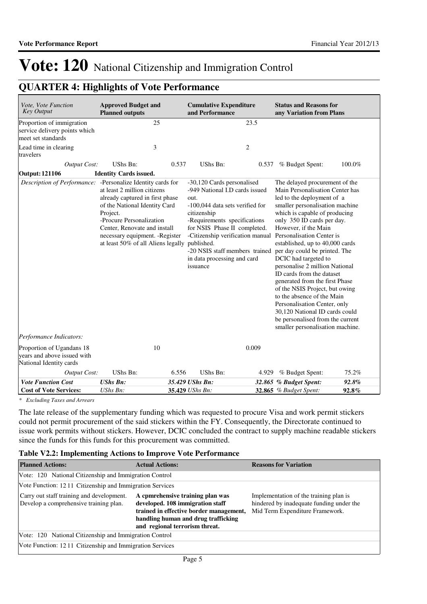## **QUARTER 4: Highlights of Vote Performance**

| Vote, Vote Function<br><b>Key Output</b>                                                | <b>Approved Budget and</b><br><b>Planned outputs</b>                                                                                                                                                                                                        |       | <b>Cumulative Expenditure</b><br>and Performance                                                                                                                                                                                                                                                                                                                |       | <b>Status and Reasons for</b><br>any Variation from Plans                                                                                                                                                                                                                                                                                                                                                                                                                                                                                                                                       |                |
|-----------------------------------------------------------------------------------------|-------------------------------------------------------------------------------------------------------------------------------------------------------------------------------------------------------------------------------------------------------------|-------|-----------------------------------------------------------------------------------------------------------------------------------------------------------------------------------------------------------------------------------------------------------------------------------------------------------------------------------------------------------------|-------|-------------------------------------------------------------------------------------------------------------------------------------------------------------------------------------------------------------------------------------------------------------------------------------------------------------------------------------------------------------------------------------------------------------------------------------------------------------------------------------------------------------------------------------------------------------------------------------------------|----------------|
| Proportion of immigration<br>service delivery points which<br>meet set standards        | 25                                                                                                                                                                                                                                                          |       | 23.5                                                                                                                                                                                                                                                                                                                                                            |       |                                                                                                                                                                                                                                                                                                                                                                                                                                                                                                                                                                                                 |                |
| Lead time in clearing<br>travelers                                                      | 3                                                                                                                                                                                                                                                           |       | $\overline{2}$                                                                                                                                                                                                                                                                                                                                                  |       |                                                                                                                                                                                                                                                                                                                                                                                                                                                                                                                                                                                                 |                |
| <b>Output Cost:</b><br>Output: 121106                                                   | <b>UShs Bn:</b><br><b>Identity Cards issued.</b>                                                                                                                                                                                                            | 0.537 | <b>UShs Bn:</b>                                                                                                                                                                                                                                                                                                                                                 |       | 0.537 % Budget Spent:                                                                                                                                                                                                                                                                                                                                                                                                                                                                                                                                                                           | 100.0%         |
| Description of Performance: - Personalize Identity cards for<br>Performance Indicators: | at least 2 million citizens<br>already captured in first phase<br>of the National Identity Card<br>Project.<br>-Procure Personalization<br>Center, Renovate and install<br>necessary equipment. - Register<br>at least 50% of all Aliens legally published. |       | -30,120 Cards personalised<br>-949 National I.D cards issued<br>out.<br>-100,044 data sets verified for<br>citizenship<br>-Requirements specifications<br>for NSIS Phase II completed.<br>-Citizenship verification manual Personalisation Center is<br>-20 NSIS staff members trained per day could be printed. The<br>in data processing and card<br>issuance |       | The delayed procurement of the<br>Main Personalisation Center has<br>led to the deployment of a<br>smaller personalisation machine<br>which is capable of producing<br>only 350 ID cards per day.<br>However, if the Main<br>established, up to 40,000 cards<br>DCIC had targeted to<br>personalise 2 million National<br>ID cards from the dataset<br>generated from the first Phase<br>of the NSIS Project, but owing<br>to the absence of the Main<br>Personalisation Center, only<br>30,120 National ID cards could<br>be personalised from the current<br>smaller personalisation machine. |                |
| Proportion of Ugandans 18                                                               | 10                                                                                                                                                                                                                                                          |       | 0.009                                                                                                                                                                                                                                                                                                                                                           |       |                                                                                                                                                                                                                                                                                                                                                                                                                                                                                                                                                                                                 |                |
| years and above issued with<br>National Identity cards                                  |                                                                                                                                                                                                                                                             |       |                                                                                                                                                                                                                                                                                                                                                                 |       |                                                                                                                                                                                                                                                                                                                                                                                                                                                                                                                                                                                                 |                |
| Output Cost:                                                                            | UShs Bn:                                                                                                                                                                                                                                                    | 6.556 | <b>UShs Bn:</b>                                                                                                                                                                                                                                                                                                                                                 | 4.929 | % Budget Spent:                                                                                                                                                                                                                                                                                                                                                                                                                                                                                                                                                                                 | 75.2%          |
| <b>Vote Function Cost</b><br><b>Cost of Vote Services:</b>                              | <b>UShs Bn:</b><br>$UShs Bn$ :                                                                                                                                                                                                                              |       | 35.429 UShs Bn:<br>35.429 UShs Bn:                                                                                                                                                                                                                                                                                                                              |       | 32.865 % Budget Spent:<br><b>32.865</b> % Budget Spent:                                                                                                                                                                                                                                                                                                                                                                                                                                                                                                                                         | 92.8%<br>92.8% |

*\* Excluding Taxes and Arrears*

The late release of the supplementary funding which was requested to procure Visa and work permit stickers could not permit procurement of the said stickers within the FY. Consequently, the Directorate continued to issue work permits without stickers. However, DCIC concluded the contract to supply machine readable stickers since the funds for this funds for this procurement was committed.

#### **Table V2.2: Implementing Actions to Improve Vote Performance**

| <b>Planned Actions:</b>                                                             | <b>Actual Actions:</b>                                                                                                                                                                   | <b>Reasons for Variation</b>                                                                                          |
|-------------------------------------------------------------------------------------|------------------------------------------------------------------------------------------------------------------------------------------------------------------------------------------|-----------------------------------------------------------------------------------------------------------------------|
| Vote: 120 National Citizenship and Immigration Control                              |                                                                                                                                                                                          |                                                                                                                       |
| Vote Function: 12.11 Citizenship and Immigration Services                           |                                                                                                                                                                                          |                                                                                                                       |
| Carry out staff training and development.<br>Develop a comprehensive training plan. | A cpmrehensive training plan was<br>developed. 108 immigration staff<br>trained in effective border management,<br>handling human and drug trafficking<br>and regional terrorism threat. | Implementation of the training plan is<br>hindered by inadequate funding under the<br>Mid Term Expenditure Framework. |
| Vote: 120 National Citizenship and Immigration Control                              |                                                                                                                                                                                          |                                                                                                                       |
| Vote Function: 12.11 Citizenship and Immigration Services                           |                                                                                                                                                                                          |                                                                                                                       |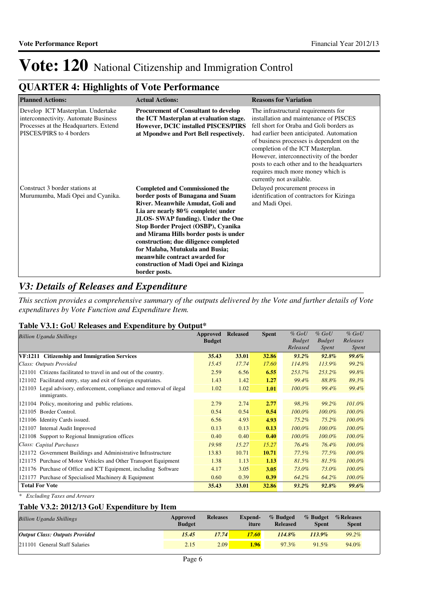## **QUARTER 4: Highlights of Vote Performance**

| <b>Planned Actions:</b>                                                                                                                        | <b>Actual Actions:</b>                                                                                                                                                                                                                                                                                                                                                                                                                                     | <b>Reasons for Variation</b>                                                                                                                                                                                                                                                                                                                                                                                         |
|------------------------------------------------------------------------------------------------------------------------------------------------|------------------------------------------------------------------------------------------------------------------------------------------------------------------------------------------------------------------------------------------------------------------------------------------------------------------------------------------------------------------------------------------------------------------------------------------------------------|----------------------------------------------------------------------------------------------------------------------------------------------------------------------------------------------------------------------------------------------------------------------------------------------------------------------------------------------------------------------------------------------------------------------|
| Develop ICT Masterplan. Undertake<br>interconnectivity. Automate Business<br>Processes at the Headquarters. Extend<br>PISCES/PIRS to 4 borders | <b>Procurement of Consultant to develop</b><br>the ICT Masterplan at evaluation stage.<br><b>However, DCIC installed PISCES/PIRS</b><br>at Mpondwe and Port Bell respectively.                                                                                                                                                                                                                                                                             | The infrastructural requirements for<br>installation and maintenance of PISCES<br>fell short for Oraba and Goli borders as<br>had earlier been anticipated. Automation<br>of business processes is dependent on the<br>completion of the ICT Masterplan.<br>However, interconnectivity of the border<br>posts to each other and to the headquarters<br>requires much more money which is<br>currently not available. |
| Construct 3 border stations at<br>Murumumba, Madi Opei and Cyanika.                                                                            | <b>Completed and Commissioned the</b><br>border posts of Bunagana and Suam<br>River. Meanwhile Amudat, Goli and<br>Lia are nearly 80% complete (under<br><b>JLOS-SWAP funding). Under the One</b><br>Stop Border Project (OSBP), Cyanika<br>and Mirama Hills border posts is under<br>construction; due diligence completed<br>for Malaba, Mutukula and Busia;<br>meanwhile contract awarded for<br>construction of Madi Opei and Kizinga<br>border posts. | Delayed procurement process in<br>identification of contractors for Kizinga<br>and Madi Opei.                                                                                                                                                                                                                                                                                                                        |

### *V3: Details of Releases and Expenditure*

*This section provides a comprehensive summary of the outputs delivered by the Vote and further details of Vote expenditures by Vote Function and Expenditure Item.*

#### **Table V3.1: GoU Releases and Expenditure by Output\***

| <b>Billion Uganda Shillings</b>                                      | Approved<br><b>Budget</b> | <b>Released</b> | <b>Spent</b> | $%$ GoU<br><b>Budget</b> | $%$ GoU<br><b>Budget</b> | $%$ GoU<br>Releases |
|----------------------------------------------------------------------|---------------------------|-----------------|--------------|--------------------------|--------------------------|---------------------|
|                                                                      |                           |                 |              | Released                 | Spent                    | Spent               |
| VF:1211 Citizenship and Immigration Services                         | 35.43                     | 33.01           | 32.86        | $93.2\%$                 | 92.8%                    | $99.6\%$            |
| Class: Outputs Provided                                              | 15.45                     | 17.74           | 17.60        | 114.8%                   | 113.9%                   | 99.2%               |
| 121101 Citizens facilitated to travel in and out of the country.     | 2.59                      | 6.56            | 6.55         | 253.7%                   | 253.2%                   | 99.8%               |
| 121102 Facilitated entry, stay and exit of foreign expatriates.      | 1.43                      | 1.42            | 1.27         | 99.4%                    | 88.8%                    | 89.3%               |
| 121103 Legal advisory, enforcement, compliance and removal of ilegal | 1.02                      | 1.02            | 1.01         | $100.0\%$                | 99.4%                    | 99.4%               |
| immigrants.                                                          |                           |                 |              |                          |                          |                     |
| 121104 Policy, monitoring and public relations.                      | 2.79                      | 2.74            | 2.77         | 98.3%                    | 99.2%                    | 101.0%              |
| 121105 Border Control.                                               | 0.54                      | 0.54            | 0.54         | $100.0\%$                | $100.0\%$                | $100.0\%$           |
| 121106 Identity Cards issued.                                        | 6.56                      | 4.93            | 4.93         | $75.2\%$                 | $75.2\%$                 | 100.0%              |
| 121107 Internal Audit Improved                                       | 0.13                      | 0.13            | 0.13         | $100.0\%$                | $100.0\%$                | 100.0%              |
| 121108 Support to Regional Immigration offices                       | 0.40                      | 0.40            | 0.40         | $100.0\%$                | $100.0\%$                | 100.0%              |
| Class: Capital Purchases                                             | 19.98                     | 15.27           | 15.27        | 76.4%                    | 76.4%                    | 100.0%              |
| 121172 Government Buildings and Administrative Infrastructure        | 13.83                     | 10.71           | 10.71        | 77.5%                    | 77.5%                    | 100.0%              |
| 121175 Purchase of Motor Vehicles and Other Transport Equipment      | 1.38                      | 1.13            | 1.13         | 81.5%                    | 81.5%                    | 100.0%              |
| 121176 Purchase of Office and ICT Equipment, including Software      | 4.17                      | 3.05            | 3.05         | 73.0%                    | 73.0%                    | 100.0%              |
| 121177 Purchase of Specialised Machinery & Equipment                 | 0.60                      | 0.39            | 0.39         | 64.2%                    | 64.2%                    | 100.0%              |
| <b>Total For Vote</b>                                                | 35.43                     | 33.01           | 32.86        | $93.2\%$                 | 92.8%                    | 99.6%               |

*\* Excluding Taxes and Arrears*

#### **Table V3.2: 2012/13 GoU Expenditure by Item**

| <b>Billion Uganda Shillings</b>       | Approved<br><b>Budget</b> | <b>Releases</b> | <b>Expend-</b><br>iture | % Budged<br><b>Released</b> | % Budget<br><b>Spent</b> | %Releases<br><b>Spent</b> |
|---------------------------------------|---------------------------|-----------------|-------------------------|-----------------------------|--------------------------|---------------------------|
| <b>Output Class: Outputs Provided</b> | 15.45                     | 17.74'          | 17.60                   | $114.8\%$                   | $113.9\%$                | $99.2\%$                  |
| 211101 General Staff Salaries         | 2.15                      | 2.09            | 1.96                    | 97.3%                       | $91.5\%$                 | 94.0%                     |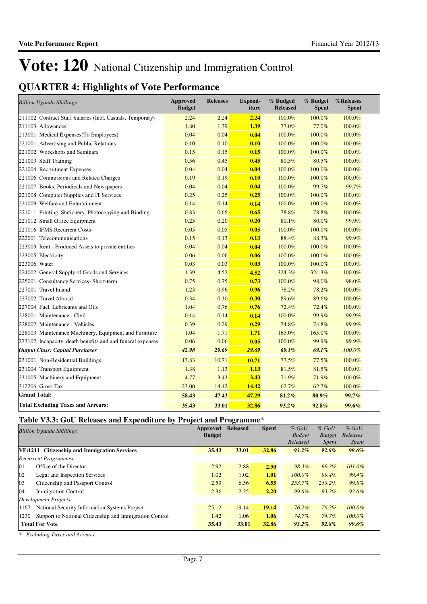## **QUARTER 4: Highlights of Vote Performance**

| <b>Billion Uganda Shillings</b>                            | <b>Approved</b><br><b>Budget</b> | <b>Releases</b> | Expend-<br>iture | % Budged<br><b>Released</b> | % Budget<br><b>Spent</b> | %Releases<br><b>Spent</b> |
|------------------------------------------------------------|----------------------------------|-----------------|------------------|-----------------------------|--------------------------|---------------------------|
| 211102 Contract Staff Salaries (Incl. Casuals, Temporary)  | 2.24                             | 2.24            | 2.24             | 100.0%                      | 100.0%                   | 100.0%                    |
| 211103 Allowances                                          | 1.80                             | 1.39            | 1.39             | 77.0%                       | 77.0%                    | 100.0%                    |
| 213001 Medical Expenses (To Employees)                     | 0.04                             | 0.04            | 0.04             | 100.0%                      | 100.0%                   | 100.0%                    |
| 221001 Advertising and Public Relations                    | 0.10                             | 0.10            | 0.10             | 100.0%                      | 100.0%                   | 100.0%                    |
| 221002 Workshops and Seminars                              | 0.15                             | 0.15            | 0.15             | 100.0%                      | 100.0%                   | 100.0%                    |
| 221003 Staff Training                                      | 0.56                             | 0.45            | 0.45             | 80.5%                       | 80.5%                    | 100.0%                    |
| 221004 Recruitment Expenses                                | 0.04                             | 0.04            | 0.04             | 100.0%                      | 100.0%                   | 100.0%                    |
| 221006 Commissions and Related Charges                     | 0.19                             | 0.19            | 0.19             | 100.0%                      | 100.0%                   | 100.0%                    |
| 221007 Books, Periodicals and Newspapers                   | 0.04                             | 0.04            | 0.04             | 100.0%                      | 99.7%                    | 99.7%                     |
| 221008 Computer Supplies and IT Services                   | 0.25                             | 0.25            | 0.25             | 100.0%                      | 100.0%                   | 100.0%                    |
| 221009 Welfare and Entertainment                           | 0.14                             | 0.14            | 0.14             | 100.0%                      | 100.0%                   | 100.0%                    |
| 221011 Printing, Stationery, Photocopying and Binding      | 0.83                             | 0.65            | 0.65             | 78.8%                       | 78.8%                    | 100.0%                    |
| 221012 Small Office Equipment                              | 0.25                             | 0.20            | 0.20             | 80.1%                       | 80.0%                    | 99.9%                     |
| 221016 IFMS Recurrent Costs                                | 0.05                             | 0.05            | 0.05             | 100.0%                      | 100.0%                   | 100.0%                    |
| 222001 Telecommunications                                  | 0.15                             | 0.13            | 0.13             | 88.4%                       | 88.3%                    | 99.9%                     |
| 223003 Rent - Produced Assets to private entities          | 0.04                             | 0.04            | 0.04             | 100.0%                      | 100.0%                   | 100.0%                    |
| 223005 Electricity                                         | 0.06                             | 0.06            | 0.06             | 100.0%                      | 100.0%                   | 100.0%                    |
| 223006 Water                                               | 0.03                             | 0.03            | 0.03             | 100.0%                      | 100.0%                   | 100.0%                    |
| 224002 General Supply of Goods and Services                | 1.39                             | 4.52            | 4.52             | 324.3%                      | 324.3%                   | 100.0%                    |
| 225001 Consultancy Services- Short-term                    | 0.75                             | 0.75            | 0.73             | 100.0%                      | 98.0%                    | 98.0%                     |
| 227001 Travel Inland                                       | 1.23                             | 0.96            | 0.96             | 78.2%                       | 78.2%                    | 100.0%                    |
| 227002 Travel Abroad                                       | 0.34                             | 0.30            | 0.30             | 89.6%                       | 89.6%                    | 100.0%                    |
| 227004 Fuel, Lubricants and Oils                           | 1.04                             | 0.76            | 0.76             | 72.4%                       | 72.4%                    | 100.0%                    |
| 228001 Maintenance - Civil                                 | 0.14                             | 0.14            | 0.14             | 100.0%                      | 99.9%                    | 99.9%                     |
| 228002 Maintenance - Vehicles                              | 0.39                             | 0.29            | 0.29             | 74.8%                       | 74.8%                    | 99.9%                     |
| 228003 Maintenance Machinery, Equipment and Furniture      | 1.04                             | 1.71            | 1.71             | 165.0%                      | 165.0%                   | 100.0%                    |
| 273102 Incapacity, death benefits and and funeral expenses | 0.06                             | 0.06            | 0.05             | 100.0%                      | 99.9%                    | 99.9%                     |
| <b>Output Class: Capital Purchases</b>                     | 42.98                            | 29.69           | 29.69            | 69.1%                       | 69.1%                    | 100.0%                    |
| 231001 Non-Residential Buildings                           | 13.83                            | 10.71           | 10.71            | 77.5%                       | 77.5%                    | 100.0%                    |
| 231004 Transport Equipment                                 | 1.38                             | 1.13            | 1.13             | 81.5%                       | 81.5%                    | 100.0%                    |
| 231005 Machinery and Equipment                             | 4.77                             | 3.43            | 3.43             | 71.9%                       | 71.9%                    | 100.0%                    |
| 312206 Gross Tax                                           | 23.00                            | 14.42           | 14.42            | 62.7%                       | 62.7%                    | 100.0%                    |
| <b>Grand Total:</b>                                        | 58.43                            | 47.43           | 47.29            | 81.2%                       | $80.9\%$                 | 99.7%                     |
| <b>Total Excluding Taxes and Arrears:</b>                  | 35.43                            | 33.01           | 32.86            | 93.2%                       | 92.8%                    | 99.6%                     |

### **Table V3.3: GoU Releases and Expenditure by Project and Programme\***

| <b>Billion Uganda Shillings</b>                                 | <b>Approved</b><br><b>Budget</b> | <b>Released</b> | <b>Spent</b> | $%$ GoU<br><b>Budget</b><br>Released | $%$ GoU<br><b>Budget</b><br><i>Spent</i> | $%$ GoU<br>Releases<br><i>Spent</i> |  |
|-----------------------------------------------------------------|----------------------------------|-----------------|--------------|--------------------------------------|------------------------------------------|-------------------------------------|--|
| VF:1211 Citizenship and Immigration Services                    | 35.43                            | 33.01           | 32.86        | $93.2\%$                             | 92.8%                                    | $99.6\%$                            |  |
| <b>Recurrent Programmes</b>                                     |                                  |                 |              |                                      |                                          |                                     |  |
| 01<br>Office of the Director                                    | 2.92                             | 2.88            | 2.90         | 98.3%                                | 99.3%                                    | $101.0\%$                           |  |
| $ 02\rangle$<br>Legal and Inspection Services                   | 1.02                             | 1.02            | 1.01         | $100.0\%$                            | 99.4%                                    | 99.4%                               |  |
| 03<br>Citizenship and Passport Control                          | 2.59                             | 6.56            | 6.55         | 253.7%                               | 253.2%                                   | 99.8%                               |  |
| 04<br><b>Immigration Control</b>                                | 2.36                             | 2.35            | 2.20         | 99.6%                                | 93.2%                                    | 93.6%                               |  |
| Development Projects                                            |                                  |                 |              |                                      |                                          |                                     |  |
| National Security Information Systems Project<br>1167           | 25.12                            | 19.14           | 19.14        | 76.2%                                | $76.2\%$                                 | $100.0\%$                           |  |
| Support to National Citizenship and Immigration Control<br>1230 | 1.42                             | 1.06            | 1.06         | 74.7%                                | 74.7%                                    | $100.0\%$                           |  |
| <b>Total For Vote</b>                                           | 35.43                            | 33.01           | 32.86        | $93.2\%$                             | 92.8%                                    | 99.6%                               |  |

*\* Excluding Taxes and Arrears*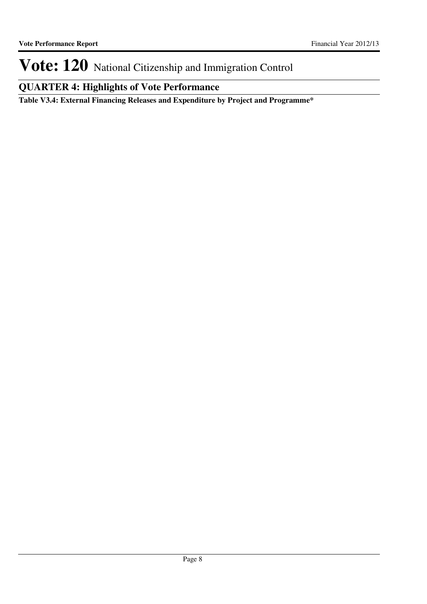## **QUARTER 4: Highlights of Vote Performance**

**Table V3.4: External Financing Releases and Expenditure by Project and Programme\***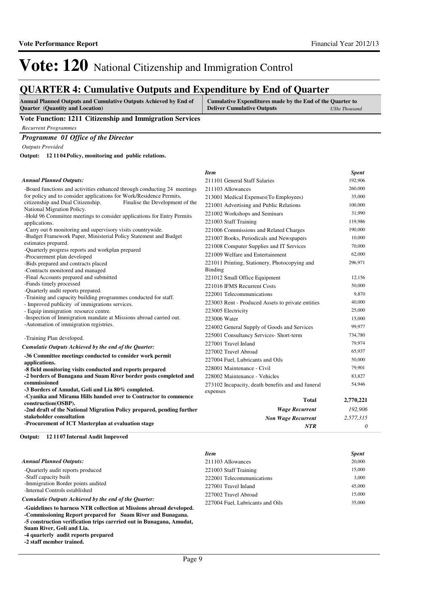*Item Spent*

# Vote: 120 National Citizenship and Immigration Control

### **QUARTER 4: Cumulative Outputs and Expenditure by End of Quarter**

| <b>Annual Planned Outputs and Cumulative Outputs Achieved by End of</b> | Cumulative Expenditures made by the End of the Quarter to |                      |  |  |  |
|-------------------------------------------------------------------------|-----------------------------------------------------------|----------------------|--|--|--|
| <b>Quarter</b> (Quantity and Location)                                  | <b>Deliver Cumulative Outputs</b>                         | <b>UShs Thousand</b> |  |  |  |

#### **Vote Function: 1211 Citizenship and Immigration Services**

*Recurrent Programmes*

#### *Programme 01 Office of the Director*

*Outputs Provided*

**12 1104 Policy, monitoring and public relations. Output:**

#### *Annual Planned Outputs:*

| <b>Annual Planned Outputs:</b><br>211101 General Staff Salaries                                                                       |           |
|---------------------------------------------------------------------------------------------------------------------------------------|-----------|
| 211103 Allowances<br>-Board functions and activities enhanced through conducting 24 meetings                                          | 260,000   |
| for policy and to consider applications for Work/Residence Permits,<br>213001 Medical Expenses (To Employees)                         | 35,000    |
| citizenship and Dual Citizenship.<br>Finalise the Development of the<br>221001 Advertising and Public Relations                       | 100,000   |
| National Migration Policy.<br>221002 Workshops and Seminars<br>-Hold 96 Committee meetings to consider applications for Entry Permits | 31,990    |
| 221003 Staff Training<br>applications.                                                                                                | 119,986   |
| -Carry out 6 monitoring and supervisory visits countrywide.<br>221006 Commissions and Related Charges                                 | 190,000   |
| -Budget Framework Paper, Ministerial Policy Statement and Budget<br>221007 Books, Periodicals and Newspapers                          | 10,000    |
| estimates prepared.<br>221008 Computer Supplies and IT Services                                                                       | 70,000    |
| -Quarterly progress reports and workplan prepared<br>221009 Welfare and Entertainment<br>-Procurement plan developed                  | 62,000    |
| 221011 Printing, Stationery, Photocopying and<br>-Bids prepared and contracts placed                                                  | 296,971   |
| -Contracts monitored and managed<br>Binding                                                                                           |           |
| -Final Accounts prepared and submitted<br>221012 Small Office Equipment                                                               | 12,156    |
| -Funds timely processed<br>221016 IFMS Recurrent Costs                                                                                | 50,000    |
| -Quarterly audit reports prepared.<br>222001 Telecommunications<br>-Training and capacity building programmes conducted for staff.    | 9,870     |
| 223003 Rent - Produced Assets to private entities<br>- Improved publicity of immigrations services.                                   | 40,000    |
| - Equip immigration resource centre.<br>223005 Electricity                                                                            | 25,000    |
| -Inspection of Immigration mandate at Missions abroad carried out.<br>223006 Water                                                    | 15,000    |
| -Automation of immigration registries.<br>224002 General Supply of Goods and Services                                                 | 99,977    |
| 225001 Consultancy Services- Short-term<br>-Training Plan developed.                                                                  | 734,780   |
| 227001 Travel Inland                                                                                                                  | 79,974    |
| Cumulatie Outputs Achieved by the end of the Quarter:<br>227002 Travel Abroad                                                         | 65,937    |
| -36 Committee meetings conducted to consider work permit<br>227004 Fuel, Lubricants and Oils<br>applications.                         | 50,000    |
| 228001 Maintenance - Civil<br>-8 field monitoring visits conducted and reports prepared                                               | 79,901    |
| -2 borders of Bunagana and Suam River border posts completed and<br>228002 Maintenance - Vehicles                                     | 83,827    |
| commissioned<br>273102 Incapacity, death benefits and and funeral                                                                     | 54,946    |
| -3 Borders of Amudat, Goli and Lia 80% completed.<br>expenses                                                                         |           |
| -Cyanika and Mirama Hills handed over to Contractor to commence<br><b>Total</b><br>construction(OSBP).                                | 2,770,221 |
| <b>Wage Recurrent</b><br>-2nd draft of the National Migration Policy prepared, pending further                                        | 192,906   |
| stakeholder consultation<br><b>Non Wage Recurrent</b>                                                                                 | 2,577,315 |
| -Procurement of ICT Masterplan at evaluation stage<br><b>NTR</b>                                                                      | 0         |

**12 1107 Internal Audit Improved Output:**

|                                                                      | <b>Item</b>                      | <b>Spent</b> |
|----------------------------------------------------------------------|----------------------------------|--------------|
| <b>Annual Planned Outputs:</b>                                       | 211103 Allowances                | 20,000       |
| -Quarterly audit reports produced                                    | 221003 Staff Training            | 15,000       |
| -Staff capacity built                                                | 222001 Telecommunications        | 3.000        |
| -Immigration Border points audited                                   | 227001 Travel Inland             | 45,000       |
| -Internal Controls established                                       | 227002 Travel Abroad             | 15,000       |
| Cumulatie Outputs Achieved by the end of the Ouarter:                | 227004 Fuel. Lubricants and Oils | 35,000       |
| -Guidelines to harness NTR collection at Missions abroad developed.  |                                  |              |
| -Commissioning Report prepared for Suam River and Bunagana.          |                                  |              |
| -5 construction verification trips carrried out in Bunagana, Amudat, |                                  |              |
| Suam River, Goli and Lia.                                            |                                  |              |

**-4 quarterly audit reports prepared**

**-2 staff member trained.**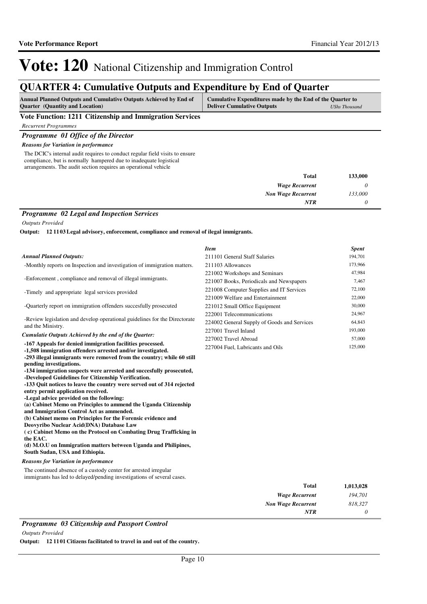### **QUARTER 4: Cumulative Outputs and Expenditure by End of Quarter**

| <b>Deliver Cumulative Outputs</b><br><b>Ouarter</b> (Quantity and Location)<br>UShs Thousand | <b>Annual Planned Outputs and Cumulative Outputs Achieved by End of</b> | Cumulative Expenditures made by the End of the Quarter to |  |
|----------------------------------------------------------------------------------------------|-------------------------------------------------------------------------|-----------------------------------------------------------|--|
|                                                                                              |                                                                         |                                                           |  |

**Vote Function: 1211 Citizenship and Immigration Services**

*Recurrent Programmes*

#### *Programme 01 Office of the Director*

*Reasons for Variation in performance*

The DCIC's internal audit requires to conduct regular field visits to ensure compliance, but is normally hampered due to inadequate logistical arrangements. The audit section requires an operational vehicle

| 133,000 | <b>Total</b>              |
|---------|---------------------------|
|         | <b>Wage Recurrent</b>     |
| 133,000 | <b>Non Wage Recurrent</b> |
| 0       | <b>NTR</b>                |

#### *Programme 02 Legal and Inspection Services*

*Outputs Provided*

**12 1103 Legal advisory, enforcement, compliance and removal of ilegal immigrants. Output:**

|                                                                                                                                            | <b>Item</b>                                 | <b>Spent</b> |
|--------------------------------------------------------------------------------------------------------------------------------------------|---------------------------------------------|--------------|
| <b>Annual Planned Outputs:</b>                                                                                                             | 211101 General Staff Salaries               | 194,701      |
| -Monthly reports on Inspection and investigation of immigration matters.                                                                   | 211103 Allowances                           | 173,966      |
|                                                                                                                                            | 221002 Workshops and Seminars               | 47,984       |
| -Enforcement, compliance and removal of illegal immigrants.                                                                                | 221007 Books, Periodicals and Newspapers    | 7,467        |
| -Timely and appropriate legal services provided                                                                                            | 221008 Computer Supplies and IT Services    | 72,100       |
|                                                                                                                                            | 221009 Welfare and Entertainment            | 22,000       |
| -Quarterly report on immigration offenders succesfully prosecuted                                                                          | 221012 Small Office Equipment               | 30,000       |
|                                                                                                                                            | 222001 Telecommunications                   | 24,967       |
| -Review legislation and develop operational guidelines for the Directorate<br>and the Ministry.                                            | 224002 General Supply of Goods and Services | 64,843       |
| Cumulatie Outputs Achieved by the end of the Quarter:                                                                                      | 227001 Travel Inland                        | 193,000      |
|                                                                                                                                            | 227002 Travel Abroad                        | 57,000       |
| -167 Appeals for denied immigration facilities processed.<br>-1,508 immigration offenders arrested and/or investigated.                    | 227004 Fuel, Lubricants and Oils            | 125,000      |
| -293 illegal immigrants were removed from the country; while 60 still                                                                      |                                             |              |
| pending investigations.                                                                                                                    |                                             |              |
| -134 immigration suspects were arrested and succesfully prosecuted,                                                                        |                                             |              |
| -Developed Guidelines for Citizenship Verification.                                                                                        |                                             |              |
| -133 Quit notices to leave the country were served out of 314 rejected<br>entry permit application received.                               |                                             |              |
| -Legal advice provided on the following:                                                                                                   |                                             |              |
| (a) Cabinet Memo on Principles to ammend the Uganda Citizenship                                                                            |                                             |              |
| and Immigration Control Act as ammended.                                                                                                   |                                             |              |
| (b) Cabinet memo on Principles for the Forensic evidence and                                                                               |                                             |              |
| Deovyribo Nuclear Acid(DNA) Database Law<br>(c) Cabinet Memo on the Protocol on Combating Drug Trafficking in                              |                                             |              |
| the EAC.                                                                                                                                   |                                             |              |
| (d) M.O.U on Immigration matters between Uganda and Philipines,<br>South Sudan, USA and Ethiopia.                                          |                                             |              |
| <b>Reasons for Variation in performance</b>                                                                                                |                                             |              |
| The continued absence of a custody center for arrested irregular<br>immigrants has led to delayed/pending investigations of several cases. |                                             |              |
|                                                                                                                                            | <b>Total</b>                                | 1,013,028    |
|                                                                                                                                            | <b>Wage Recurrent</b>                       | 194,701      |
|                                                                                                                                            | <b>Non Wage Recurrent</b>                   | 818,327      |
|                                                                                                                                            | <b>NTR</b>                                  | 0            |

#### *Programme 03 Citizenship and Passport Control*

*Outputs Provided*

**Output: 12 1101 Citizens facilitated to travel in and out of the country.**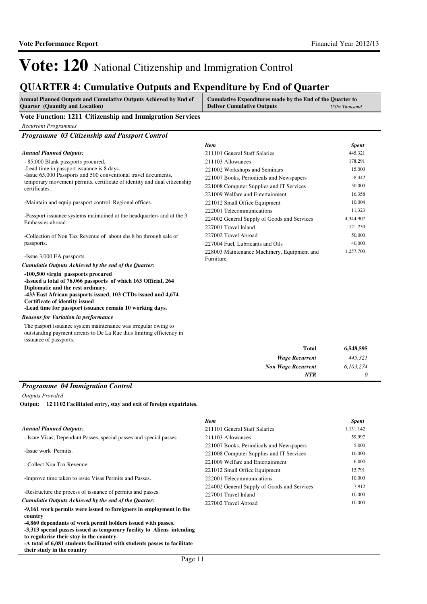### **QUARTER 4: Cumulative Outputs and Expenditure by End of Quarter**

| <b>Annual Planned Outputs and Cumulative Outputs Achieved by End of</b> | Cumulative Expenditures made by the End of the Quarter to |  |
|-------------------------------------------------------------------------|-----------------------------------------------------------|--|
| <b>Quarter</b> (Quantity and Location)                                  | <b>Deliver Cumulative Outputs</b><br><b>UShs Thousand</b> |  |
| <b>**</b> * **<br>$\begin{array}{cccc} \hline \end{array}$              |                                                           |  |

**Vote Function: 1211 Citizenship and Immigration Services**

*Recurrent Programmes*

*Programme 03 Citizenship and Passport Control*

#### *Annual Planned Outputs:*

- 85,000 Blank passports procured.

-Lead time in passport issuance is 8 days.

-Issue 65,000 Passports and 500 conventional travel documents, temporary movement permits, certificate of identity and dual citizenship certificates.

-Maintain and equip passport control Regional offices.

-Passport issuance systems maintained at the headquarters and at the 3 Embassies abroad.

-Collection of Non Tax Revenue of about shs.8 bn through sale of passports.

-Issue 3,000 EA passports.

*Cumulatie Outputs Achieved by the end of the Quarter:*

**-100,500 virgin passports procured -Issued a total of 76,066 passports of which 163 Official, 264 Diplomatic and the rest ordinary. -433 East African passports issued, 103 CTDs issued and 4,674 Certificate of identity issued -Lead time for passport issuance remain 10 working days.**

#### *Reasons for Variation in performance*

The pasport issuance system maintenance was irregular owing to outstanding payment arrears to De La Rue thus limiting efficiency in issuance of passports.

| <b>Item</b>                                              | <b>Spent</b> |
|----------------------------------------------------------|--------------|
| 211101 General Staff Salaries                            | 445,321      |
| 211103 Allowances                                        | 178,291      |
| 221002 Workshops and Seminars                            | 15,000       |
| 221007 Books, Periodicals and Newspapers                 | 8,442        |
| 221008 Computer Supplies and IT Services                 | 50,000       |
| 221009 Welfare and Entertainment                         | 16,358       |
| 221012 Small Office Equipment                            | 10,004       |
| 222001 Telecommunications                                | 11,323       |
| 224002 General Supply of Goods and Services              | 4,344,907    |
| 227001 Travel Inland                                     | 121,250      |
| 227002 Travel Abroad                                     | 50,000       |
| 227004 Fuel, Lubricants and Oils                         | 40,000       |
| 228003 Maintenance Machinery, Equipment and<br>Furniture | 1,257,700    |

| <b>Total</b>              | 6,548,595 |
|---------------------------|-----------|
| <b>Wage Recurrent</b>     | 445,321   |
| <b>Non Wage Recurrent</b> | 6,103,274 |
| <b>NTR</b>                |           |

#### *Programme 04 Immigration Control*

*Outputs Provided*

**12 1102 Facilitated entry, stay and exit of foreign expatriates. Output:**

#### *Annual Planned Outputs:*

- Issue Visas, Dependant Passes, special passes and special passes

- -Issue work Permits.
- Collect Non Tax Revenue.

-Improve time taken to issue Visas Permits and Passes.

-Restructure the process of issuance of permits and passes.

*Cumulatie Outputs Achieved by the end of the Quarter:*

**-9,161 work permits were issued to foreigners in employment in the country**

**-4,860 dependants of work permit holders issued with passes.**

**-3,313 special passes issued as temporary facility to Aliens intending to regularise their stay in the country.**

**-A total of 6,081 students facilitated with students passes to facilitate their study in the country**

| <b>Item</b>                                 | <b>Spent</b> |
|---------------------------------------------|--------------|
| 211101 General Staff Salaries               | 1,131,142    |
| 211103 Allowances                           | 59,997       |
| 221007 Books, Periodicals and Newspapers    | 5,000        |
| 221008 Computer Supplies and IT Services    | 10,000       |
| 221009 Welfare and Entertainment            | 6,000        |
| 221012 Small Office Equipment               | 15.791       |
| 222001 Telecommunications                   | 10,000       |
| 224002 General Supply of Goods and Services | 7.912        |
| 227001 Travel Inland                        | 10,000       |
| 227002 Travel Abroad                        | 10.000       |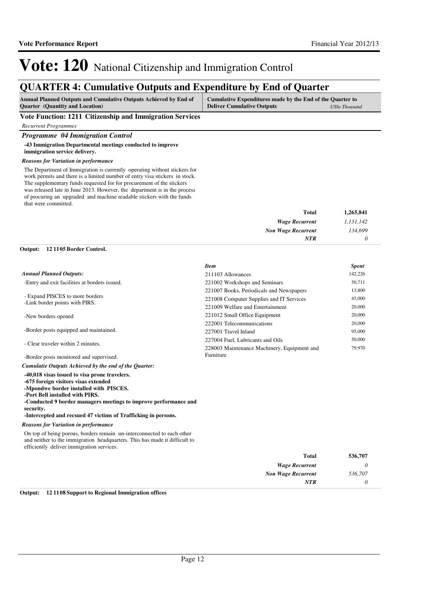### **QUARTER 4: Cumulative Outputs and Expenditure by End of Quarter**

| <b>Annual Planned Outputs and Cumulative Outputs Achieved by End of</b> | Cumulative Expenditures made by the End of the Quarter to |               |
|-------------------------------------------------------------------------|-----------------------------------------------------------|---------------|
| <b>Quarter</b> (Quantity and Location)                                  | <b>Deliver Cumulative Outputs</b>                         | UShs Thousand |
|                                                                         |                                                           |               |

**Vote Function: 1211 Citizenship and Immigration Services**

*Recurrent Programmes*

#### *Programme 04 Immigration Control*

**-43 Immigration Departmental meetings conducted to improve immigration service delivery.**

#### *Reasons for Variation in performance*

The Department of Immigration is currently operating without stickers for work permits and there is a limited number of entry visa stickers in stock. The supplementary funds requested for for procurement of the stickers was released late in June 2013. However, the department is in the process of procuring an upgraded and machine readable stickers with the funds that were committed.

| 1,265,841 | Total                     |
|-----------|---------------------------|
| 1,131,142 | <b>Wage Recurrent</b>     |
| 134,699   | <b>Non Wage Recurrent</b> |
|           | <b>NTR</b>                |
|           |                           |

## **12 1105 Border Control. Output:**

|                                                                                                                                                                                                                                                                                                                       | <b>Item</b>                                 | <b>Spent</b> |
|-----------------------------------------------------------------------------------------------------------------------------------------------------------------------------------------------------------------------------------------------------------------------------------------------------------------------|---------------------------------------------|--------------|
| <b>Annual Planned Outputs:</b>                                                                                                                                                                                                                                                                                        | 211103 Allowances                           | 142,226      |
| -Entry and exit facilities at borders issued.                                                                                                                                                                                                                                                                         | 221002 Workshops and Seminars               | 50,711       |
|                                                                                                                                                                                                                                                                                                                       | 221007 Books, Periodicals and Newspapers    | 13,800       |
| - Expand PISCES to more borders<br>-Link border points with PIRS.                                                                                                                                                                                                                                                     | 221008 Computer Supplies and IT Services    | 45,000       |
|                                                                                                                                                                                                                                                                                                                       | 221009 Welfare and Entertainment            | 20,000       |
| -New borders opened                                                                                                                                                                                                                                                                                                   | 221012 Small Office Equipment               | 20,000       |
|                                                                                                                                                                                                                                                                                                                       | 222001 Telecommunications                   | 20,000       |
| -Border posts equipped and maintained.                                                                                                                                                                                                                                                                                | 227001 Travel Inland                        | 95,000       |
| - Clear traveler within 2 minutes.                                                                                                                                                                                                                                                                                    | 227004 Fuel, Lubricants and Oils            | 50,000       |
|                                                                                                                                                                                                                                                                                                                       | 228003 Maintenance Machinery, Equipment and | 79,970       |
| -Border posts monitored and supervised.                                                                                                                                                                                                                                                                               | Furniture                                   |              |
| Cumulatie Outputs Achieved by the end of the Quarter:                                                                                                                                                                                                                                                                 |                                             |              |
| -40,018 visas issued to visa prone travelers.<br>-675 foreign visitors visas extended<br>-Mpondwe border installed with PISCES.<br>-Port Bell installed with PIRS.<br>-Conducted 9 border managers meetings to improve performance and<br>security.<br>-Intercepted and recsued 47 victims of Trafficking in persons. |                                             |              |
| <b>Reasons for Variation in performance</b>                                                                                                                                                                                                                                                                           |                                             |              |
| On top of being porous, borders remain un-interconnected to each other<br>and neither to the immigration headquarters. This has made it difficult to<br>efficiently deliver immigration services.                                                                                                                     |                                             |              |
|                                                                                                                                                                                                                                                                                                                       | <b>Total</b>                                | 536,707      |
|                                                                                                                                                                                                                                                                                                                       | <b>Wage Recurrent</b>                       | $\theta$     |
|                                                                                                                                                                                                                                                                                                                       | <b>Non Wage Recurrent</b>                   | 536,707      |
|                                                                                                                                                                                                                                                                                                                       | NTR                                         | 0            |

**Output: 12 1108 Support to Regional Immigration offices**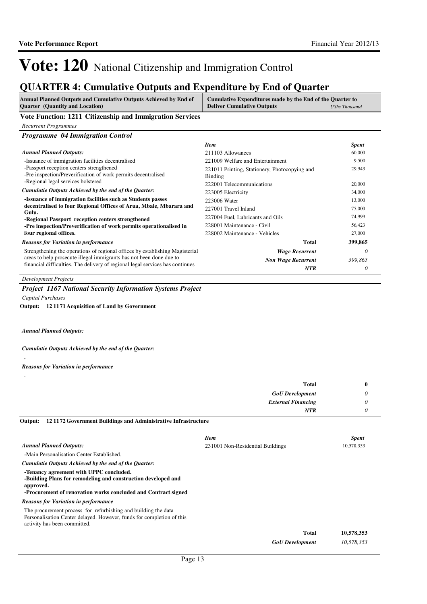## **QUARTER 4: Cumulative Outputs and Expenditure by End of Quarter**

| <b>Annual Planned Outputs and Cumulative Outputs Achieved by End of</b><br><b>Quarter</b> (Quantity and Location) | Cumulative Expenditures made by the End of the Quarter to<br><b>Deliver Cumulative Outputs</b><br><b>UShs Thousand</b> |              |
|-------------------------------------------------------------------------------------------------------------------|------------------------------------------------------------------------------------------------------------------------|--------------|
| Vote Function: 1211 Citizenship and Immigration Services                                                          |                                                                                                                        |              |
| <b>Recurrent Programmes</b>                                                                                       |                                                                                                                        |              |
| <b>Programme 04 Immigration Control</b>                                                                           |                                                                                                                        |              |
|                                                                                                                   | <b>Item</b>                                                                                                            | <b>Spent</b> |
| <b>Annual Planned Outputs:</b>                                                                                    | 211103 Allowances                                                                                                      | 60,000       |
| -Issuance of immigration facilities decentralised                                                                 | 221009 Welfare and Entertainment                                                                                       | 9,500        |
| -Passport reception centers strengthened<br>-Pre inspection/Preverification of work permits decentralised         | 221011 Printing, Stationery, Photocopying and<br><b>Binding</b>                                                        | 29,943       |
| -Regional legal services bolstered                                                                                | 222001 Telecommunications                                                                                              | 20,000       |
| Cumulatie Outputs Achieved by the end of the Quarter:                                                             | 223005 Electricity                                                                                                     | 34,000       |
| -Issuance of immigration facilities such as Students passes                                                       | 223006 Water                                                                                                           | 13,000       |
| decentralised to four Regional Offices of Arua, Mbale, Mbarara and<br>Gulu.                                       | 227001 Travel Inland                                                                                                   | 75,000       |
| -Regional Passport reception centers strengthened                                                                 | 227004 Fuel, Lubricants and Oils                                                                                       | 74,999       |
| -Pre inspection/Preverification of work permits operationalised in                                                | 228001 Maintenance - Civil                                                                                             | 56,423       |
| four regional offices.                                                                                            | 228002 Maintenance - Vehicles                                                                                          | 27,000       |
| <b>Reasons for Variation in performance</b>                                                                       | <b>Total</b>                                                                                                           | 399,865      |
| Strengthening the operations of regional offices by establishing Magisterial                                      | <b>Wage Recurrent</b>                                                                                                  | 0            |
| areas to help prosecute illegal immigrants has not been done due to                                               | <b>Non Wage Recurrent</b>                                                                                              | 399,865      |
| financial difficulties. The delivery of regional legal services has continues                                     | <b>NTR</b>                                                                                                             |              |

*Development Projects*

*Project 1167 National Security Information Systems Project*

*Capital Purchases*

**12 1171 Acquisition of Land by Government Output:**

*Annual Planned Outputs:*

#### *Cumulatie Outputs Achieved by the end of the Quarter:*

**.**

#### *Reasons for Variation in performance*

| <b>Total</b>              | v |
|---------------------------|---|
| <b>GoU</b> Development    | v |
| <b>External Financing</b> |   |
| <b>NTR</b>                |   |

**12 1172 Government Buildings and Administrative Infrastructure Output:**

|                                                                                                                                                                                         | <b>Item</b>                      | <b>Spent</b> |
|-----------------------------------------------------------------------------------------------------------------------------------------------------------------------------------------|----------------------------------|--------------|
| <b>Annual Planned Outputs:</b>                                                                                                                                                          | 231001 Non-Residential Buildings | 10,578,353   |
| -Main Personalisation Center Established.                                                                                                                                               |                                  |              |
| Cumulatie Outputs Achieved by the end of the Ouarter:                                                                                                                                   |                                  |              |
| -Tenancy agreement with UPPC concluded.<br>-Building Plans for remodeling and construction developed and<br>approved.<br>-Procurement of renovation works concluded and Contract signed |                                  |              |
| <b>Reasons for Variation in performance</b>                                                                                                                                             |                                  |              |
| The procurement process for refurbishing and building the data<br>Personalisation Center delayed. However, funds for completion of this<br>activity has been committed.                 |                                  |              |
|                                                                                                                                                                                         | Total                            | 10,578,353   |
|                                                                                                                                                                                         | <b>GoU</b> Development           | 10.578.353   |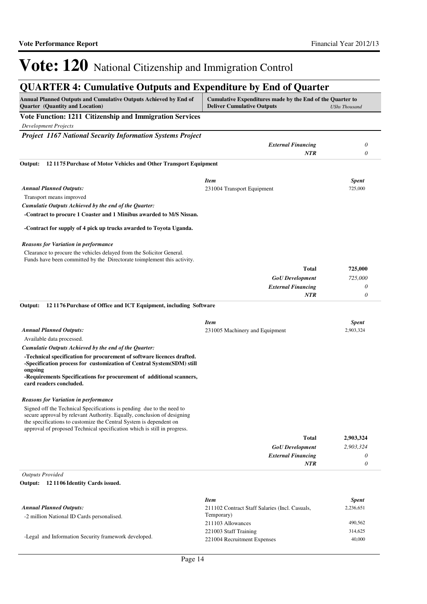## **QUARTER 4: Cumulative Outputs and Expenditure by End of Quarter**

| Annual Planned Outputs and Cumulative Outputs Achieved by End of<br>Quarter (Quantity and Location)                                                                                                                    | Cumulative Expenditures made by the End of the Quarter to<br><b>Deliver Cumulative Outputs</b> | <b>UShs Thousand</b>      |
|------------------------------------------------------------------------------------------------------------------------------------------------------------------------------------------------------------------------|------------------------------------------------------------------------------------------------|---------------------------|
| Vote Function: 1211 Citizenship and Immigration Services                                                                                                                                                               |                                                                                                |                           |
| <b>Development Projects</b>                                                                                                                                                                                            |                                                                                                |                           |
| <b>Project 1167 National Security Information Systems Project</b>                                                                                                                                                      |                                                                                                |                           |
|                                                                                                                                                                                                                        | <b>External Financing</b>                                                                      | 0                         |
|                                                                                                                                                                                                                        | NTR                                                                                            | 0                         |
| 121175 Purchase of Motor Vehicles and Other Transport Equipment<br>Output:                                                                                                                                             |                                                                                                |                           |
|                                                                                                                                                                                                                        |                                                                                                |                           |
| <b>Annual Planned Outputs:</b>                                                                                                                                                                                         | <b>Item</b>                                                                                    | <b>Spent</b><br>725,000   |
| Transport means improved                                                                                                                                                                                               | 231004 Transport Equipment                                                                     |                           |
| Cumulatie Outputs Achieved by the end of the Quarter:                                                                                                                                                                  |                                                                                                |                           |
| -Contract to procure 1 Coaster and 1 Minibus awarded to M/S Nissan.                                                                                                                                                    |                                                                                                |                           |
| -Contract for supply of 4 pick up trucks awarded to Toyota Uganda.                                                                                                                                                     |                                                                                                |                           |
|                                                                                                                                                                                                                        |                                                                                                |                           |
| <b>Reasons for Variation in performance</b>                                                                                                                                                                            |                                                                                                |                           |
| Clearance to procure the vehicles delayed from the Solicitor General.<br>Funds have been committed by the Directorate toimplement this activity.                                                                       |                                                                                                |                           |
|                                                                                                                                                                                                                        | Total                                                                                          | 725,000                   |
|                                                                                                                                                                                                                        | <b>GoU</b> Development                                                                         | 725,000                   |
|                                                                                                                                                                                                                        | <b>External Financing</b>                                                                      | 0                         |
|                                                                                                                                                                                                                        | <b>NTR</b>                                                                                     | 0                         |
| 121176 Purchase of Office and ICT Equipment, including Software<br>Output:                                                                                                                                             |                                                                                                |                           |
|                                                                                                                                                                                                                        |                                                                                                |                           |
| <b>Annual Planned Outputs:</b>                                                                                                                                                                                         | <b>Item</b><br>231005 Machinery and Equipment                                                  | <b>Spent</b><br>2,903,324 |
| Available data processed.                                                                                                                                                                                              |                                                                                                |                           |
| Cumulatie Outputs Achieved by the end of the Quarter:                                                                                                                                                                  |                                                                                                |                           |
| -Technical specification for procurement of software licences drafted.                                                                                                                                                 |                                                                                                |                           |
| -Specification process for customization of Central System(SDM) still                                                                                                                                                  |                                                                                                |                           |
| ongoing                                                                                                                                                                                                                |                                                                                                |                           |
| -Requirements Specifications for procurement of additional scanners,<br>card readers concluded.                                                                                                                        |                                                                                                |                           |
| <b>Reasons for Variation in performance</b>                                                                                                                                                                            |                                                                                                |                           |
| Signed off the Technical Specifications is pending due to the need to<br>secure approval by relevant Authority. Equally, conclusion of designing<br>the specifications to customize the Central System is dependent on |                                                                                                |                           |
| approval of proposed Technical specification which is still in progress.                                                                                                                                               |                                                                                                |                           |
|                                                                                                                                                                                                                        | Total                                                                                          | 2,903,324                 |
|                                                                                                                                                                                                                        | <b>GoU</b> Development                                                                         | 2,903,324                 |
|                                                                                                                                                                                                                        | <b>External Financing</b><br><b>NTR</b>                                                        | 0<br>0                    |
|                                                                                                                                                                                                                        |                                                                                                |                           |
| <b>Outputs Provided</b><br>Output:<br>12 1106 Identity Cards issued.                                                                                                                                                   |                                                                                                |                           |
|                                                                                                                                                                                                                        |                                                                                                |                           |
|                                                                                                                                                                                                                        | <b>Item</b>                                                                                    | <b>Spent</b>              |
| <b>Annual Planned Outputs:</b><br>-2 million National ID Cards personalised.                                                                                                                                           | 211102 Contract Staff Salaries (Incl. Casuals,<br>Temporary)                                   | 2,236,651                 |
|                                                                                                                                                                                                                        | 211103 Allowances                                                                              | 490,562                   |
|                                                                                                                                                                                                                        | 221003 Staff Training                                                                          | 314,625                   |

-Legal and Information Security framework developed.

221004 Recruitment Expenses 40,000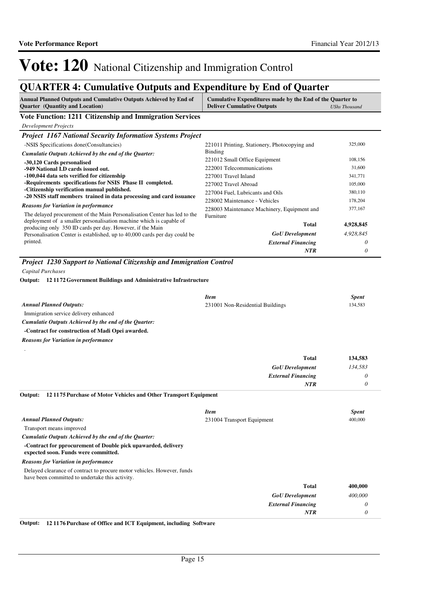## **QUARTER 4: Cumulative Outputs and Expenditure by End of Quarter**

| Annual Planned Outputs and Cumulative Outputs Achieved by End of<br><b>Ouarter</b> (Quantity and Location)                                       | Cumulative Expenditures made by the End of the Quarter to<br><b>Deliver Cumulative Outputs</b> | <b>UShs Thousand</b> |
|--------------------------------------------------------------------------------------------------------------------------------------------------|------------------------------------------------------------------------------------------------|----------------------|
| Vote Function: 1211 Citizenship and Immigration Services                                                                                         |                                                                                                |                      |
| <b>Development Projects</b>                                                                                                                      |                                                                                                |                      |
| <b>Project 1167 National Security Information Systems Project</b>                                                                                |                                                                                                |                      |
| -NSIS Specifications done(Consultancies)                                                                                                         | 221011 Printing, Stationery, Photocopying and                                                  | 325,000              |
| Cumulatie Outputs Achieved by the end of the Quarter:                                                                                            | <b>Binding</b>                                                                                 |                      |
| -30,120 Cards personalised                                                                                                                       | 221012 Small Office Equipment                                                                  | 108,156              |
| -949 National I.D cards issued out.                                                                                                              | 222001 Telecommunications                                                                      | 31,600               |
| -100,044 data sets verified for citizenship                                                                                                      | 227001 Travel Inland                                                                           | 341,771              |
| -Requirements specifications for NSIS Phase II completed.<br>-Citizenship verification manual published.                                         | 227002 Travel Abroad                                                                           | 105,000              |
| -20 NSIS staff members trained in data processing and card issuance                                                                              | 227004 Fuel, Lubricants and Oils                                                               | 380,110              |
| <b>Reasons for Variation in performance</b>                                                                                                      | 228002 Maintenance - Vehicles                                                                  | 178,204              |
| The delayed procurement of the Main Personalisation Center has led to the<br>deployment of a smaller personalisation machine which is capable of | 228003 Maintenance Machinery, Equipment and<br>Furniture                                       | 377,167              |
| producing only 350 ID cards per day. However, if the Main                                                                                        | <b>Total</b>                                                                                   | 4,928,845            |
| Personalisation Center is established, up to 40,000 cards per day could be                                                                       | <b>GoU</b> Development                                                                         | 4,928,845            |
| printed.                                                                                                                                         | <b>External Financing</b>                                                                      | 0                    |
|                                                                                                                                                  | NTR                                                                                            | 0                    |
| Capital Purchases<br>Output: 12 1172 Government Buildings and Administrative Infrastructure                                                      |                                                                                                |                      |
|                                                                                                                                                  | <b>Item</b>                                                                                    | <b>Spent</b>         |
| <b>Annual Planned Outputs:</b>                                                                                                                   | 231001 Non-Residential Buildings                                                               | 134,583              |
| Immigration service delivery enhanced                                                                                                            |                                                                                                |                      |
| Cumulatie Outputs Achieved by the end of the Quarter:                                                                                            |                                                                                                |                      |
| -Contract for construction of Madi Opei awarded.                                                                                                 |                                                                                                |                      |
| <b>Reasons for Variation in performance</b>                                                                                                      |                                                                                                |                      |
|                                                                                                                                                  | Total                                                                                          | 134,583              |
|                                                                                                                                                  | <b>GoU</b> Development                                                                         | 134,583              |
|                                                                                                                                                  | <b>External Financing</b>                                                                      | 0                    |
|                                                                                                                                                  | NTR                                                                                            | 0                    |
| 121175 Purchase of Motor Vehicles and Other Transport Equipment<br>Output:                                                                       |                                                                                                |                      |
|                                                                                                                                                  | <b>Item</b>                                                                                    | <b>Spent</b>         |
| <b>Annual Planned Outputs:</b>                                                                                                                   | 231004 Transport Equipment                                                                     | 400,000              |
| Transport means improved                                                                                                                         |                                                                                                |                      |
| Cumulatie Outputs Achieved by the end of the Quarter:                                                                                            |                                                                                                |                      |
| -Contract for pprocurement of Double pick upawarded, delivery<br>expected soon. Funds were committed.                                            |                                                                                                |                      |
| <b>Reasons for Variation in performance</b>                                                                                                      |                                                                                                |                      |
| Delayed clearance of contract to procure motor vehicles. However, funds<br>have been committed to undertake this activity.                       |                                                                                                |                      |
|                                                                                                                                                  | <b>Total</b>                                                                                   | 400,000              |
|                                                                                                                                                  | <b>GoU</b> Development                                                                         | 400,000              |
|                                                                                                                                                  | <b>External Financing</b>                                                                      | 0                    |
|                                                                                                                                                  | NTR                                                                                            | 0                    |

**Output: 12 1176 Purchase of Office and ICT Equipment, including Software**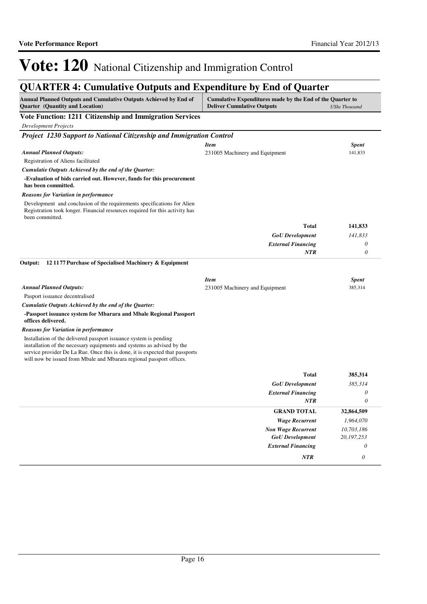## **QUARTER 4: Cumulative Outputs and Expenditure by End of Quarter**

| Annual Planned Outputs and Cumulative Outputs Achieved by End of<br><b>Quarter</b> (Quantity and Location)                                                                                                                                                                                          | Cumulative Expenditures made by the End of the Quarter to<br><b>Deliver Cumulative Outputs</b> | <b>UShs Thousand</b>    |
|-----------------------------------------------------------------------------------------------------------------------------------------------------------------------------------------------------------------------------------------------------------------------------------------------------|------------------------------------------------------------------------------------------------|-------------------------|
| Vote Function: 1211 Citizenship and Immigration Services                                                                                                                                                                                                                                            |                                                                                                |                         |
| <b>Development Projects</b>                                                                                                                                                                                                                                                                         |                                                                                                |                         |
| Project 1230 Support to National Citizenship and Immigration Control                                                                                                                                                                                                                                |                                                                                                |                         |
|                                                                                                                                                                                                                                                                                                     | <b>Item</b>                                                                                    | <b>Spent</b>            |
| <b>Annual Planned Outputs:</b>                                                                                                                                                                                                                                                                      | 231005 Machinery and Equipment                                                                 | 141,833                 |
| Registration of Aliens facilitated                                                                                                                                                                                                                                                                  |                                                                                                |                         |
| Cumulatie Outputs Achieved by the end of the Quarter:                                                                                                                                                                                                                                               |                                                                                                |                         |
| -Evaluation of bids carried out. However, funds for this procurement<br>has been committed.                                                                                                                                                                                                         |                                                                                                |                         |
| <b>Reasons for Variation in performance</b>                                                                                                                                                                                                                                                         |                                                                                                |                         |
| Development and conclusion of the requirements specifications for Alien<br>Registration took longer. Financial resources required for this activity has<br>been committed.                                                                                                                          |                                                                                                |                         |
|                                                                                                                                                                                                                                                                                                     | <b>Total</b>                                                                                   | 141,833                 |
|                                                                                                                                                                                                                                                                                                     | <b>GoU</b> Development                                                                         | 141,833                 |
|                                                                                                                                                                                                                                                                                                     | <b>External Financing</b>                                                                      | 0                       |
|                                                                                                                                                                                                                                                                                                     | <b>NTR</b>                                                                                     | $\theta$                |
| Output:<br>12 1177 Purchase of Specialised Machinery & Equipment<br><b>Annual Planned Outputs:</b>                                                                                                                                                                                                  | <b>Item</b>                                                                                    | <b>Spent</b><br>385,314 |
| Pasport issuance decentralised                                                                                                                                                                                                                                                                      | 231005 Machinery and Equipment                                                                 |                         |
| Cumulatie Outputs Achieved by the end of the Quarter:                                                                                                                                                                                                                                               |                                                                                                |                         |
| -Passport issuance system for Mbarara and Mbale Regional Passport<br>offices delivered.                                                                                                                                                                                                             |                                                                                                |                         |
| <b>Reasons for Variation in performance</b>                                                                                                                                                                                                                                                         |                                                                                                |                         |
| Installation of the delivered passport issuance system is pending<br>installation of the necessary equipments and systems as advised by the<br>service provider De La Rue. Once this is done, it is expected that passports<br>will now be issued from Mbale and Mbarara regional passport offices. |                                                                                                |                         |
|                                                                                                                                                                                                                                                                                                     | Total                                                                                          | 385,314                 |
|                                                                                                                                                                                                                                                                                                     | <b>GoU</b> Development                                                                         | 385,314                 |
|                                                                                                                                                                                                                                                                                                     | <b>External Financing</b>                                                                      | 0                       |
|                                                                                                                                                                                                                                                                                                     | NTR                                                                                            | $\theta$                |
|                                                                                                                                                                                                                                                                                                     | <b>GRAND TOTAL</b>                                                                             | 32,864,509              |
|                                                                                                                                                                                                                                                                                                     | <b>Wage Recurrent</b>                                                                          | 1,964,070               |
|                                                                                                                                                                                                                                                                                                     | <b>Non Wage Recurrent</b>                                                                      | 10,703,186              |
|                                                                                                                                                                                                                                                                                                     | <b>GoU</b> Development                                                                         | 20, 197, 253            |
|                                                                                                                                                                                                                                                                                                     | <b>External Financing</b>                                                                      | 0                       |
|                                                                                                                                                                                                                                                                                                     | <b>NTR</b>                                                                                     | $\theta$                |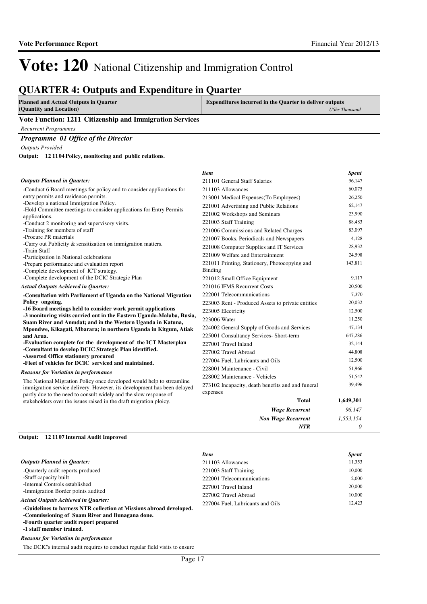*UShs Thousand*

# Vote: 120 National Citizenship and Immigration Control

### **QUARTER 4: Outputs and Expenditure in Quarter**

**Planned and Actual Outputs in Quarter (Quantity and Location)**

**Expenditures incurred in the Quarter to deliver outputs** 

*Item Spent*

*Non Wage Recurrent*

*NTR*

*1,553,154 0*

#### **Vote Function: 1211 Citizenship and Immigration Services**

*Recurrent Programmes*

#### *Programme 01 Office of the Director*

*Outputs Provided*

**12 1104 Policy, monitoring and public relations. Output:**

#### *Outputs Planned in Quarter:*

| <b>Outputs Planned in Ouarter:</b>                                                                                                               | 211101 General Staff Salaries                                   | 96,147    |
|--------------------------------------------------------------------------------------------------------------------------------------------------|-----------------------------------------------------------------|-----------|
| -Conduct 6 Board meetings for policy and to consider applications for                                                                            | 211103 Allowances                                               | 60,075    |
| entry permits and residence permits.                                                                                                             | 213001 Medical Expenses(To Employees)                           | 26,250    |
| -Develop a national Immigration Policy.                                                                                                          | 221001 Advertising and Public Relations                         | 62,147    |
| -Hold Committee meetings to consider applications for Entry Permits                                                                              | 221002 Workshops and Seminars                                   | 23,990    |
| applications.<br>-Conduct 2 monitoring and supervisory visits.                                                                                   | 221003 Staff Training                                           | 88,483    |
| -Training for members of staff                                                                                                                   | 221006 Commissions and Related Charges                          | 83,097    |
| -Procure PR materials                                                                                                                            | 221007 Books, Periodicals and Newspapers                        | 4,128     |
| -Carry out Publicity & sensitization on immigration matters.                                                                                     | 221008 Computer Supplies and IT Services                        | 28,932    |
| -Train Staff                                                                                                                                     | 221009 Welfare and Entertainment                                | 24,598    |
| -Participation in National celebrations                                                                                                          |                                                                 | 143,811   |
| -Prepare performance and evaluation report<br>-Complete development of ICT strategy.                                                             | 221011 Printing, Stationery, Photocopying and<br><b>Binding</b> |           |
| -Complete development of the DCIC Strategic Plan                                                                                                 | 221012 Small Office Equipment                                   | 9,117     |
| <b>Actual Outputs Achieved in Quarter:</b>                                                                                                       | 221016 IFMS Recurrent Costs                                     | 20,500    |
| -Consultation with Parliament of Uganda on the National Migration                                                                                | 222001 Telecommunications                                       | 7,370     |
| Policy ongoing.                                                                                                                                  | 223003 Rent - Produced Assets to private entities               | 20,032    |
| -16 Board meetings held to consider work permit applications                                                                                     | 223005 Electricity                                              | 12,500    |
| -3 monitoring visits carried out in the Eastern Uganda-Malaba, Busia,                                                                            | 223006 Water                                                    | 11,250    |
| Suam River and Amudat; and in the Western Uganda in Katuna,<br>Mpondwe, Kikagati, Mbarara; in northern Uganda in Kitgum, Atiak                   | 224002 General Supply of Goods and Services                     | 47,134    |
| and Arua.                                                                                                                                        | 225001 Consultancy Services- Short-term                         | 647,286   |
| -Evaluation complete for the development of the ICT Masterplan                                                                                   | 227001 Travel Inland                                            | 32,144    |
| -Consultant to develop DCIC Strategic Plan identified.                                                                                           | 227002 Travel Abroad                                            | 44,808    |
| -Assorted Office stationery procured<br>-Fleet of vehicles for DCIC serviced and maintained.                                                     | 227004 Fuel, Lubricants and Oils                                | 12,500    |
|                                                                                                                                                  | 228001 Maintenance - Civil                                      | 51,966    |
| Reasons for Variation in performance                                                                                                             | 228002 Maintenance - Vehicles                                   | 51,542    |
| The National Migration Policy once developed would help to streamline<br>immigration service delivery. However, its development has been delayed | 273102 Incapacity, death benefits and and funeral               | 39,496    |
| partly due to the need to consult widely and the slow response of                                                                                | expenses                                                        |           |
| stakeholders over the issues raised in the draft migration ploicy.                                                                               | <b>Total</b>                                                    | 1,649,301 |
|                                                                                                                                                  | <b>Wage Recurrent</b>                                           | 96,147    |

### **12 1107 Internal Audit Improved Output:**

|                                                                     | <b>Item</b>                      | <b>Spent</b> |
|---------------------------------------------------------------------|----------------------------------|--------------|
| <b>Outputs Planned in Quarter:</b>                                  | 211103 Allowances                | 11,353       |
| -Quarterly audit reports produced                                   | 221003 Staff Training            | 10,000       |
| -Staff capacity built                                               | 222001 Telecommunications        | 2.000        |
| -Internal Controls established                                      | 227001 Travel Inland             | 20,000       |
| -Immigration Border points audited                                  | 227002 Travel Abroad             | 10.000       |
| Actual Outputs Achieved in Ouarter:                                 | 227004 Fuel, Lubricants and Oils | 12.423       |
| -Guidelines to harness NTR collection at Missions abroad developed. |                                  |              |
| -Commissioning of Suam River and Bunagana done.                     |                                  |              |
| -Fourth quarter audit report prepared                               |                                  |              |
| -1 staff member trained.                                            |                                  |              |

#### *Reasons for Variation in performance*

The DCIC's internal audit requires to conduct regular field visits to ensure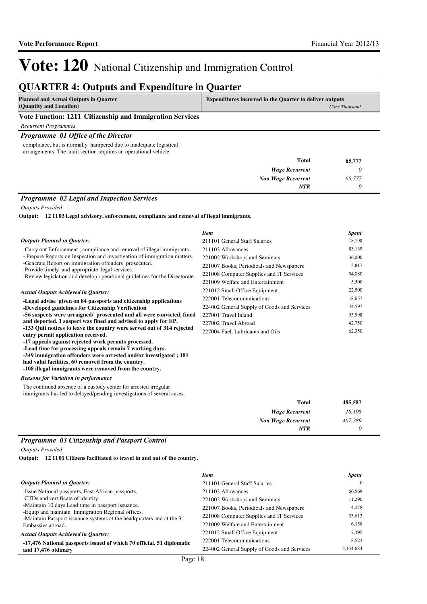## **QUARTER 4: Outputs and Expenditure in Quarter**

| <b>Planned and Actual Outputs in Quarter</b>             | <b>Expenditures incurred in the Quarter to deliver outputs</b> |
|----------------------------------------------------------|----------------------------------------------------------------|
| (Quantity and Location)                                  | UShs Thousand                                                  |
| Vote Function: 1211 Citizenship and Immigration Services |                                                                |

#### **Vote Function: 1211 Citizenship and Immigration Services**

*Recurrent Programmes*

#### *Programme 01 Office of the Director*

compliance, but is normally hampered due to inadequate logistical arrangements. The audit section requires an operational vehicle

| <b>Total</b>              | 65,777 |
|---------------------------|--------|
| <b>Wage Recurrent</b>     |        |
| <b>Non Wage Recurrent</b> | 65,777 |
| <b>NTR</b>                |        |

#### *Programme 02 Legal and Inspection Services*

*Outputs Provided*

**12 1103 Legal advisory, enforcement, compliance and removal of ilegal immigrants. Output:**

|                                                                                                                                                                                                                                                                                                       | <b>Item</b>                                 | <b>Spent</b> |
|-------------------------------------------------------------------------------------------------------------------------------------------------------------------------------------------------------------------------------------------------------------------------------------------------------|---------------------------------------------|--------------|
| <b>Outputs Planned in Quarter:</b>                                                                                                                                                                                                                                                                    | 211101 General Staff Salaries               | 18,198       |
| -Carry out Enforcement, compliance and removal of illegal immigrants                                                                                                                                                                                                                                  | 211103 Allowances                           | 83,139       |
| - Prepare Reports on Inspection and investigation of immigration matters.                                                                                                                                                                                                                             | 221002 Workshops and Seminars               | 36,000       |
| -Generate Report on immigration offenders prosecuted.<br>-Provide timely and appropriate legal services.                                                                                                                                                                                              | 221007 Books, Periodicals and Newspapers    | 3,817        |
| -Review legislation and develop operational guidelines for the Directorate.                                                                                                                                                                                                                           | 221008 Computer Supplies and IT Services    | 54,080       |
|                                                                                                                                                                                                                                                                                                       | 221009 Welfare and Entertainment            | 5,500        |
| <b>Actual Outputs Achieved in Quarter:</b>                                                                                                                                                                                                                                                            | 221012 Small Office Equipment               | 22,500       |
| -Legal advise given on 84 passports and citizenship applications                                                                                                                                                                                                                                      | 222001 Telecommunications                   | 18,657       |
| -Developed guidelines for Citizenship Verification                                                                                                                                                                                                                                                    | 224002 General Supply of Goods and Services | 44,597       |
| -56 suspects were arraigned/ prosecuted and all were convicted, fined                                                                                                                                                                                                                                 | 227001 Travel Inland                        | 93,998       |
| and deported. 1 suspect was fined and advised to apply for EP.                                                                                                                                                                                                                                        | 227002 Travel Abroad                        | 42,750       |
| -133 Quit notices to leave the country were served out of 314 rejected<br>entry permit application received.                                                                                                                                                                                          | 227004 Fuel, Lubricants and Oils            | 62,350       |
| -17 appeals against rejected work permits processed.<br>-Lead time for processing appeals remain 7 working days.<br>-349 immigration offenders were arrested and/or investigated; 181<br>had valid facilities, 60 removed from the country.<br>-108 illegal immigrants were removed from the country. |                                             |              |
| <b>Reasons for Variation in performance</b>                                                                                                                                                                                                                                                           |                                             |              |
| The continued absence of a custody center for arrested irregular<br>immigrants has led to delayed/pending investigations of several cases.                                                                                                                                                            |                                             |              |

| 485,587 | Total                     |
|---------|---------------------------|
| 18,198  | <b>Wage Recurrent</b>     |
| 467,389 | <b>Non Wage Recurrent</b> |
|         | <b>NTR</b>                |

#### *Programme 03 Citizenship and Passport Control*

*Outputs Provided*

**12 1101 Citizens facilitated to travel in and out of the country. Output:**

|                                                                                                                           | <b>Item</b>                                 | <b>Spent</b> |
|---------------------------------------------------------------------------------------------------------------------------|---------------------------------------------|--------------|
| <b>Outputs Planned in Quarter:</b>                                                                                        | 211101 General Staff Salaries               |              |
| -Issue National passports, East African passports,                                                                        | 211103 Allowances                           | 66,569       |
| CTDs and certificate of identity                                                                                          | 221002 Workshops and Seminars               | 11,290       |
| -Maintain 10 days Lead time in passport issuance.                                                                         | 221007 Books, Periodicals and Newspapers    | 4,278        |
| -Equip and maintain Immigration Regional offices.<br>-Maintain Passport issuance systems at the headquarters and at the 3 | 221008 Computer Supplies and IT Services    | 33,612       |
| Embassies abroad.                                                                                                         | 221009 Welfare and Entertainment            | 6,158        |
| <b>Actual Outputs Achieved in Ouarter:</b>                                                                                | 221012 Small Office Equipment               | 7,495        |
| -17,476 National passports issued of which 70 official, 51 diplomatic                                                     | 222001 Telecommunications                   | 8,523        |
| and 17,476 otdinary                                                                                                       | 224002 General Supply of Goods and Services | 3,154,684    |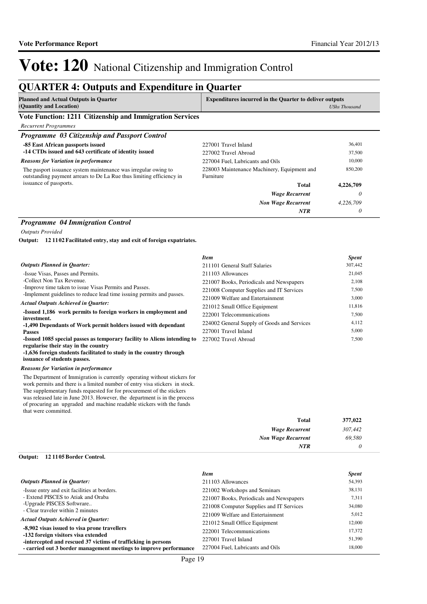*0*

*NTR*

# Vote: 120 National Citizenship and Immigration Control

## **QUARTER 4: Outputs and Expenditure in Quarter**

| <b>Planned and Actual Outputs in Quarter</b> | <b>Expenditures incurred in the Quarter to deliver outputs</b> |  |
|----------------------------------------------|----------------------------------------------------------------|--|
| (Quantity and Location)                      | <b>UShs Thousand</b>                                           |  |
| ___                                          |                                                                |  |

**Vote Function: 1211 Citizenship and Immigration Services**

*Recurrent Programmes*

| Programme 03 Citizenship and Passport Control                                                                                          |                                                          |           |  |
|----------------------------------------------------------------------------------------------------------------------------------------|----------------------------------------------------------|-----------|--|
| -85 East African passports issued                                                                                                      | 227001 Travel Inland                                     | 36.401    |  |
| -14 CTDs issued and 643 certificate of identity issued                                                                                 | 227002 Travel Abroad                                     | 37.500    |  |
| <b>Reasons for Variation in performance</b>                                                                                            | 227004 Fuel, Lubricants and Oils                         | 10.000    |  |
| The pasport issuance system maintenance was irregular owing to<br>outstanding payment arrears to De La Rue thus limiting efficiency in | 228003 Maintenance Machinery, Equipment and<br>Furniture | 850,200   |  |
| issuance of passports.                                                                                                                 | Total                                                    | 4,226,709 |  |
|                                                                                                                                        | <b>Wage Recurrent</b>                                    | 0         |  |
|                                                                                                                                        | <b>Non Wage Recurrent</b>                                | 4,226,709 |  |
|                                                                                                                                        | <b>NTR</b>                                               | 0         |  |

#### *Programme 04 Immigration Control*

*Outputs Provided*

**12 1102 Facilitated entry, stay and exit of foreign expatriates. Output:**

|                                                                               | <b>Item</b>                                 | <b>Spent</b> |
|-------------------------------------------------------------------------------|---------------------------------------------|--------------|
| <b>Outputs Planned in Ouarter:</b>                                            | 211101 General Staff Salaries               | 307,442      |
| -Issue Visas, Passes and Permits.                                             | 211103 Allowances                           | 21,045       |
| -Collect Non Tax Revenue.                                                     | 221007 Books, Periodicals and Newspapers    | 2,108        |
| -Improve time taken to issue Visas Permits and Passes.                        | 221008 Computer Supplies and IT Services    | 7,500        |
| -Implement guidelines to reduce lead time issuing permits and passes.         | 221009 Welfare and Entertainment            | 3,000        |
| <b>Actual Outputs Achieved in Ouarter:</b>                                    | 221012 Small Office Equipment               | 11,816       |
| -Issued 1,186 work permits to foreign workers in employment and               | 222001 Telecommunications                   | 7,500        |
| investment.<br>-1,490 Dependants of Work permit holders issued with dependant | 224002 General Supply of Goods and Services | 4,112        |
| <b>Passes</b>                                                                 | 227001 Travel Inland                        | 5,000        |
| -Issued 1085 special passes as temporary facility to Aliens intending to      | 227002 Travel Abroad                        | 7,500        |
| regularise their stay in the country                                          |                                             |              |
| -1,636 foreign students facilitated to study in the country through           |                                             |              |
| issuance of students passes.                                                  |                                             |              |

#### *Reasons for Variation in performance*

The Department of Immigration is currently operating without stickers for work permits and there is a limited number of entry visa stickers in stock. The supplementary funds requested for for procurement of the stickers was released la of procuring a that were com

| ate in June 2013. However, the department is in the process |                           |         |
|-------------------------------------------------------------|---------------------------|---------|
| in upgraded and machine readable stickers with the funds    |                           |         |
| mitted.                                                     |                           |         |
|                                                             | Total                     | 377,022 |
|                                                             | <b>Wage Recurrent</b>     | 307.442 |
|                                                             | <b>Non Wage Recurrent</b> | 69.580  |

#### **12 1105 Border Control. Output:**

|                                                                                                      | <b>Item</b>                              | <b>Spent</b> |
|------------------------------------------------------------------------------------------------------|------------------------------------------|--------------|
| <b>Outputs Planned in Quarter:</b>                                                                   | 211103 Allowances                        | 54,393       |
| -Issue entry and exit facilities at borders.                                                         | 221002 Workshops and Seminars            | 38,131       |
| - Extend PISCES to Atiak and Oraba                                                                   | 221007 Books, Periodicals and Newspapers | 7,311        |
| -Upgrade PISCES Softwrare                                                                            | 221008 Computer Supplies and IT Services | 34,080       |
| - Clear traveler within 2 minutes                                                                    | 221009 Welfare and Entertainment         | 5,012        |
| <b>Actual Outputs Achieved in Ouarter:</b>                                                           | 221012 Small Office Equipment            | 12,000       |
| -8,902 visas issued to visa prone travellers                                                         | 222001 Telecommunications                | 17.372       |
| -132 foreign visitors visa extended<br>-intercepted and rescued 37 victims of trafficking in persons | 227001 Travel Inland                     | 51,390       |
| - carried out 3 border management meetings to improve performance                                    | 227004 Fuel. Lubricants and Oils         | 18,000       |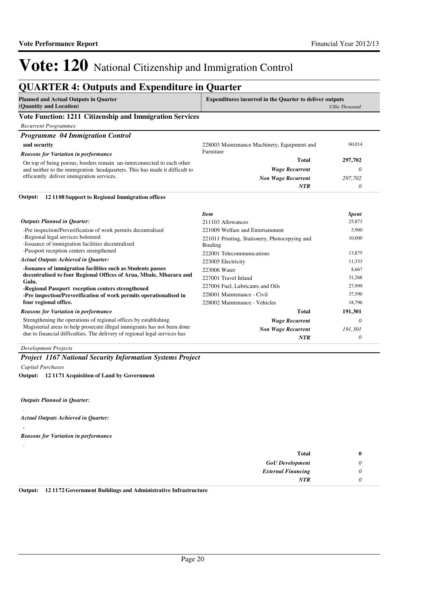## **QUARTER 4: Outputs and Expenditure in Quarter**

| <b>Planned and Actual Outputs in Quarter</b><br>(Quantity and Location) | <b>Expenditures incurred in the Quarter to deliver outputs</b><br>UShs Thousand |
|-------------------------------------------------------------------------|---------------------------------------------------------------------------------|
| Vote Function: 1211 Citizenship and Immigration Services                |                                                                                 |
| Recurrent Programmes                                                    |                                                                                 |

| <b>Programme 04 Immigration Control</b>                                    |                                             |         |
|----------------------------------------------------------------------------|---------------------------------------------|---------|
| and security                                                               | 228003 Maintenance Machinery, Equipment and | 60,014  |
| <b>Reasons for Variation in performance</b>                                | Furniture                                   |         |
| On top of being porous, borders remain un-interconnected to each other     | Total                                       | 297,702 |
| and neither to the immigration headquarters. This has made it difficult to | <b>Wage Recurrent</b>                       |         |
| efficiently deliver immigration services.                                  | <b>Non Wage Recurrent</b>                   | 297,702 |
|                                                                            | NTR                                         |         |

#### **12 1108 Support to Regional Immigration offices Output:**

|                                                                                                                                                        | <b>Item</b>                                              | <b>Spent</b> |
|--------------------------------------------------------------------------------------------------------------------------------------------------------|----------------------------------------------------------|--------------|
| <b>Outputs Planned in Quarter:</b>                                                                                                                     | 211103 Allowances                                        | 25,873       |
| -Pre inspection/Preverification of work permits decentralised                                                                                          | 221009 Welfare and Entertainment                         | 5,900        |
| -Regional legal services bolstered<br>-Issuance of immigration facilities decentralised                                                                | 221011 Printing, Stationery, Photocopying and<br>Binding | 10,000       |
| -Passport reception centers strengthened                                                                                                               | 222001 Telecommunications                                | 13,875       |
| <b>Actual Outputs Achieved in Quarter:</b>                                                                                                             | 223005 Electricity                                       | 11,333       |
| -Issuance of immigration facilities such as Students passes                                                                                            | 223006 Water                                             | 8,667        |
| decentralised to four Regional Offices of Arua, Mbale, Mbarara and<br>Gulu.                                                                            | 227001 Travel Inland                                     | 31,268       |
| -Regional Passport reception centers strengthened                                                                                                      | 227004 Fuel, Lubricants and Oils                         | 27,999       |
| -Pre inspection/Preverification of work permits operationalised in                                                                                     | 228001 Maintenance - Civil                               | 37,590       |
| four regional office.                                                                                                                                  | 228002 Maintenance - Vehicles                            | 18,796       |
| <b>Reasons for Variation in performance</b>                                                                                                            | <b>Total</b>                                             | 191,301      |
| Strengthening the operations of regional offices by establishing                                                                                       | <b>Wage Recurrent</b>                                    | 0            |
| Magisterial areas to help prosecute illegal immigrants has not been done<br>due to financial difficulties. The delivery of regional legal services has | <b>Non Wage Recurrent</b><br><b>NTR</b>                  | 191,301<br>0 |

#### *Development Projects*

### *Project 1167 National Security Information Systems Project*

*Capital Purchases*

**12 1171 Acquisition of Land by Government Output:**

*Outputs Planned in Quarter:*

```
Actual Outputs Achieved in Quarter:
```
**.**

.

.

*Reasons for Variation in performance*

| <b>Total</b>              | o |
|---------------------------|---|
| <b>GoU</b> Development    | υ |
| <b>External Financing</b> | U |
| <b>NTR</b>                |   |

**Output: 12 1172 Government Buildings and Administrative Infrastructure**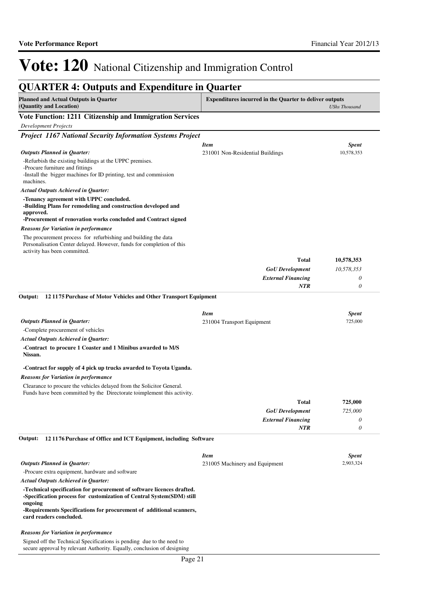| <b>QUARTER 4: Outputs and Expenditure in Quarter</b>                                                                                              |                                                                |                      |
|---------------------------------------------------------------------------------------------------------------------------------------------------|----------------------------------------------------------------|----------------------|
| <b>Planned and Actual Outputs in Quarter</b><br>(Quantity and Location)                                                                           | <b>Expenditures incurred in the Quarter to deliver outputs</b> | <b>UShs Thousand</b> |
| Vote Function: 1211 Citizenship and Immigration Services                                                                                          |                                                                |                      |
| <b>Development Projects</b>                                                                                                                       |                                                                |                      |
| <b>Project 1167 National Security Information Systems Project</b>                                                                                 |                                                                |                      |
|                                                                                                                                                   | <b>Item</b>                                                    | <b>Spent</b>         |
| <b>Outputs Planned in Quarter:</b>                                                                                                                | 231001 Non-Residential Buildings                               | 10,578,353           |
| -Refurbish the existing buildings at the UPPC premises.                                                                                           |                                                                |                      |
| -Procure furniture and fittings<br>-Install the bigger machines for ID printing, test and commission                                              |                                                                |                      |
| machines.                                                                                                                                         |                                                                |                      |
| <b>Actual Outputs Achieved in Quarter:</b>                                                                                                        |                                                                |                      |
| -Tenancy agreement with UPPC concluded.                                                                                                           |                                                                |                      |
| -Building Plans for remodeling and construction developed and                                                                                     |                                                                |                      |
| approved.<br>-Procurement of renovation works concluded and Contract signed                                                                       |                                                                |                      |
| <b>Reasons for Variation in performance</b>                                                                                                       |                                                                |                      |
| The procurement process for refurbishing and building the data<br>Personalisation Center delayed. However, funds for completion of this           |                                                                |                      |
| activity has been committed.                                                                                                                      | <b>Total</b>                                                   | 10,578,353           |
|                                                                                                                                                   | <b>GoU</b> Development                                         | 10,578,353           |
|                                                                                                                                                   | <b>External Financing</b>                                      | 0                    |
|                                                                                                                                                   | <b>NTR</b>                                                     | $\theta$             |
| Output:<br>121175 Purchase of Motor Vehicles and Other Transport Equipment                                                                        | <b>Item</b>                                                    | <b>Spent</b>         |
| <b>Outputs Planned in Quarter:</b>                                                                                                                | 231004 Transport Equipment                                     | 725,000              |
| -Complete procurement of vehicles                                                                                                                 |                                                                |                      |
| <b>Actual Outputs Achieved in Quarter:</b>                                                                                                        |                                                                |                      |
| -Contract to procure 1 Coaster and 1 Minibus awarded to M/S<br>Nissan.                                                                            |                                                                |                      |
| -Contract for supply of 4 pick up trucks awarded to Toyota Uganda.                                                                                |                                                                |                      |
| <b>Reasons for Variation in performance</b>                                                                                                       |                                                                |                      |
| Clearance to procure the vehicles delayed from the Solicitor General.<br>Funds have been committed by the Directorate to implement this activity. |                                                                |                      |
|                                                                                                                                                   | Total                                                          | 725,000              |
|                                                                                                                                                   | <b>GoU</b> Development                                         | 725,000              |
|                                                                                                                                                   | <b>External Financing</b>                                      | 0                    |
|                                                                                                                                                   | NTR                                                            | 0                    |
| 121176 Purchase of Office and ICT Equipment, including Software<br>Output:                                                                        |                                                                |                      |
|                                                                                                                                                   | <b>Item</b>                                                    | <b>Spent</b>         |
| <b>Outputs Planned in Quarter:</b>                                                                                                                | 231005 Machinery and Equipment                                 | 2,903,324            |
| -Procure extra equipment, hardware and software                                                                                                   |                                                                |                      |
| <b>Actual Outputs Achieved in Quarter:</b>                                                                                                        |                                                                |                      |
| -Technical specification for procurement of software licences drafted.<br>-Specification process for customization of Central System(SDM) still   |                                                                |                      |
| ongoing<br>-Requirements Specifications for procurement of additional scanners,<br>card readers concluded.                                        |                                                                |                      |

#### *Reasons for Variation in performance*

Signed off the Technical Specifications is pending due to the need to secure approval by relevant Authority. Equally, conclusion of designing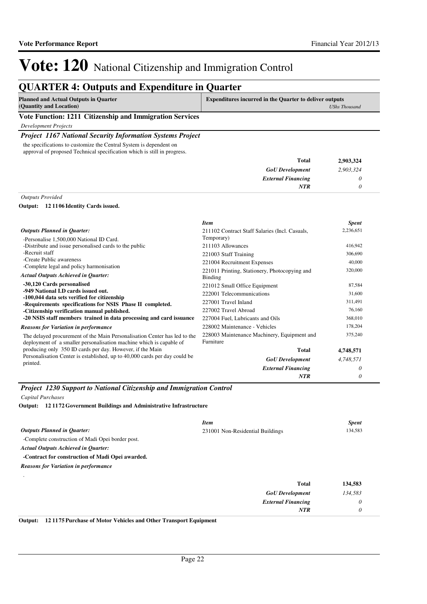## **QUARTER 4: Outputs and Expenditure in Quarter**

| <b>Planned and Actual Outputs in Quarter</b>             | <b>Expenditures incurred in the Quarter to deliver outputs</b> |
|----------------------------------------------------------|----------------------------------------------------------------|
| (Quantity and Location)                                  | UShs Thousand                                                  |
| Vote Function: 1211 Citizenship and Immigration Services |                                                                |

*Development Projects*

#### *Project 1167 National Security Information Systems Project*

the specifications to customize the Central System is dependent on approval of proposed Technical specification which is still in progress.

| 2,903,324 | Total                     |
|-----------|---------------------------|
| 2,903,324 | <b>GoU</b> Development    |
|           | <b>External Financing</b> |
|           | <b>NTR</b>                |
|           |                           |

*Outputs Provided*

**12 1106 Identity Cards issued. Output:**

|                                                                                                                                                  | <b>Item</b>                                              | <b>Spent</b> |
|--------------------------------------------------------------------------------------------------------------------------------------------------|----------------------------------------------------------|--------------|
| <b>Outputs Planned in Quarter:</b>                                                                                                               | 211102 Contract Staff Salaries (Incl. Casuals,           | 2,236,651    |
| -Personalise 1,500,000 National ID Card.                                                                                                         | Temporary)                                               |              |
| -Distribute and issue personalised cards to the public                                                                                           | 211103 Allowances                                        | 416,942      |
| -Recruit staff                                                                                                                                   | 221003 Staff Training                                    | 306,690      |
| -Create Public awareness                                                                                                                         | 221004 Recruitment Expenses                              | 40,000       |
| -Complete legal and policy harmonisation<br><b>Actual Outputs Achieved in Quarter:</b>                                                           | 221011 Printing, Stationery, Photocopying and<br>Binding | 320,000      |
| -30,120 Cards personalised                                                                                                                       | 221012 Small Office Equipment                            | 87,584       |
| -949 National I.D cards issued out.<br>-100,044 data sets verified for citizenship                                                               | 222001 Telecommunications                                | 31,600       |
| -Requirements specifications for NSIS Phase II completed.                                                                                        | 227001 Travel Inland                                     | 311,491      |
| -Citizenship verification manual published.                                                                                                      | 227002 Travel Abroad                                     | 76,160       |
| -20 NSIS staff members trained in data processing and card issuance                                                                              | 227004 Fuel, Lubricants and Oils                         | 368,010      |
| <b>Reasons for Variation in performance</b>                                                                                                      | 228002 Maintenance - Vehicles                            | 178,204      |
| The delayed procurement of the Main Personalisation Center has led to the<br>deployment of a smaller personalisation machine which is capable of | 228003 Maintenance Machinery, Equipment and<br>Furniture | 375,240      |
| producing only 350 ID cards per day. However, if the Main                                                                                        | Total                                                    | 4,748,571    |
| Personalisation Center is established, up to 40,000 cards per day could be<br>printed.                                                           | <b>GoU</b> Development                                   | 4,748,571    |
|                                                                                                                                                  | <b>External Financing</b>                                | 0            |
|                                                                                                                                                  | <b>NTR</b>                                               | 0            |

*Project 1230 Support to National Citizenship and Immigration Control*

*Capital Purchases*

**12 1172 Government Buildings and Administrative Infrastructure Output:**

|                                                  | <b>Item</b>                      | <b>Spent</b> |
|--------------------------------------------------|----------------------------------|--------------|
| <b>Outputs Planned in Quarter:</b>               | 231001 Non-Residential Buildings | 134,583      |
| -Complete construction of Madi Opei border post. |                                  |              |
| <b>Actual Outputs Achieved in Quarter:</b>       |                                  |              |
| -Contract for construction of Madi Opei awarded. |                                  |              |
| <b>Reasons for Variation in performance</b>      |                                  |              |
| $\cdot$                                          | <b>Total</b>                     | 134,583      |
|                                                  | <b>GoU</b> Development           | 134,583      |
|                                                  | <b>External Financing</b>        | 0            |
|                                                  | NTR                              | 0            |

**Output: 12 1175 Purchase of Motor Vehicles and Other Transport Equipment**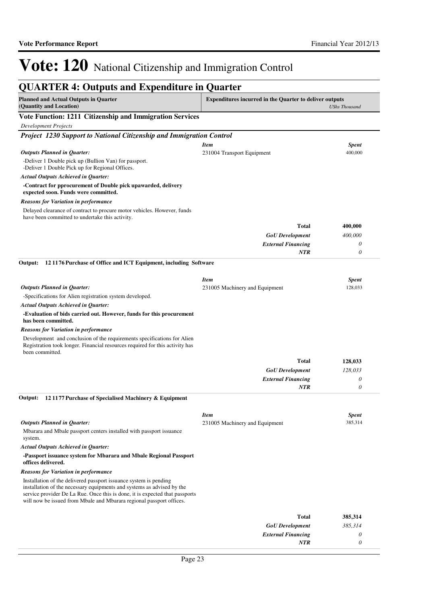*0*

*NTR*

# Vote: 120 National Citizenship and Immigration Control

| <b>Expenditures incurred in the Quarter to deliver outputs</b><br><b>UShs Thousand</b><br>Vote Function: 1211 Citizenship and Immigration Services<br><b>Development Projects</b><br>Project 1230 Support to National Citizenship and Immigration Control<br><b>Item</b><br><b>Spent</b><br><b>Outputs Planned in Quarter:</b><br>400,000<br>231004 Transport Equipment<br>-Deliver 1 Double pick up (Bullion Van) for passport.<br>-Deliver 1 Double Pick up for Regional Offices.<br><b>Actual Outputs Achieved in Quarter:</b><br>-Contract for pprocurement of Double pick upawarded, delivery<br>expected soon. Funds were committed.<br><b>Reasons for Variation in performance</b><br>Delayed clearance of contract to procure motor vehicles. However, funds<br>have been committed to undertake this activity.<br><b>Total</b><br>400,000<br><b>GoU</b> Development<br>400,000<br><b>External Financing</b><br>0<br>$\theta$<br><b>NTR</b><br>121176 Purchase of Office and ICT Equipment, including Software<br><b>Item</b><br><b>Spent</b><br><b>Outputs Planned in Quarter:</b><br>128,033<br>231005 Machinery and Equipment<br>-Specifications for Alien registration system developed.<br><b>Actual Outputs Achieved in Quarter:</b><br>-Evaluation of bids carried out. However, funds for this procurement<br>has been committed.<br><b>Reasons for Variation in performance</b><br>Development and conclusion of the requirements specifications for Alien<br>Registration took longer. Financial resources required for this activity has<br>been committed.<br><b>Total</b><br>128,033<br>128,033<br><b>GoU</b> Development<br><b>External Financing</b><br>0<br>0<br><b>NTR</b><br>12 1177 Purchase of Specialised Machinery & Equipment<br><b>Item</b><br><b>Spent</b><br><b>Outputs Planned in Ouarter:</b><br>385,314<br>231005 Machinery and Equipment<br>Mbarara and Mbale passport centers installed with passport issuance<br>system.<br><b>Actual Outputs Achieved in Quarter:</b><br>-Passport issuance system for Mbarara and Mbale Regional Passport<br>offices delivered.<br><b>Reasons for Variation in performance</b><br>Installation of the delivered passport issuance system is pending<br>installation of the necessary equipments and systems as advised by the<br>service provider De La Rue. Once this is done, it is expected that passports<br>will now be issued from Mbale and Mbarara regional passport offices.<br><b>Total</b><br>385,314<br><b>GoU</b> Development<br>385,314<br>0 | <b>QUARTER 4: Outputs and Expenditure in Quarter</b>                    |                           |  |  |
|--------------------------------------------------------------------------------------------------------------------------------------------------------------------------------------------------------------------------------------------------------------------------------------------------------------------------------------------------------------------------------------------------------------------------------------------------------------------------------------------------------------------------------------------------------------------------------------------------------------------------------------------------------------------------------------------------------------------------------------------------------------------------------------------------------------------------------------------------------------------------------------------------------------------------------------------------------------------------------------------------------------------------------------------------------------------------------------------------------------------------------------------------------------------------------------------------------------------------------------------------------------------------------------------------------------------------------------------------------------------------------------------------------------------------------------------------------------------------------------------------------------------------------------------------------------------------------------------------------------------------------------------------------------------------------------------------------------------------------------------------------------------------------------------------------------------------------------------------------------------------------------------------------------------------------------------------------------------------------------------------------------------------------------------------------------------------------------------------------------------------------------------------------------------------------------------------------------------------------------------------------------------------------------------------------------------------------------------------------------------------------------------------------------------------------------------------------------------------------------------------------------------------------------|-------------------------------------------------------------------------|---------------------------|--|--|
|                                                                                                                                                                                                                                                                                                                                                                                                                                                                                                                                                                                                                                                                                                                                                                                                                                                                                                                                                                                                                                                                                                                                                                                                                                                                                                                                                                                                                                                                                                                                                                                                                                                                                                                                                                                                                                                                                                                                                                                                                                                                                                                                                                                                                                                                                                                                                                                                                                                                                                                                      | <b>Planned and Actual Outputs in Quarter</b><br>(Quantity and Location) |                           |  |  |
|                                                                                                                                                                                                                                                                                                                                                                                                                                                                                                                                                                                                                                                                                                                                                                                                                                                                                                                                                                                                                                                                                                                                                                                                                                                                                                                                                                                                                                                                                                                                                                                                                                                                                                                                                                                                                                                                                                                                                                                                                                                                                                                                                                                                                                                                                                                                                                                                                                                                                                                                      |                                                                         |                           |  |  |
|                                                                                                                                                                                                                                                                                                                                                                                                                                                                                                                                                                                                                                                                                                                                                                                                                                                                                                                                                                                                                                                                                                                                                                                                                                                                                                                                                                                                                                                                                                                                                                                                                                                                                                                                                                                                                                                                                                                                                                                                                                                                                                                                                                                                                                                                                                                                                                                                                                                                                                                                      |                                                                         |                           |  |  |
|                                                                                                                                                                                                                                                                                                                                                                                                                                                                                                                                                                                                                                                                                                                                                                                                                                                                                                                                                                                                                                                                                                                                                                                                                                                                                                                                                                                                                                                                                                                                                                                                                                                                                                                                                                                                                                                                                                                                                                                                                                                                                                                                                                                                                                                                                                                                                                                                                                                                                                                                      |                                                                         |                           |  |  |
|                                                                                                                                                                                                                                                                                                                                                                                                                                                                                                                                                                                                                                                                                                                                                                                                                                                                                                                                                                                                                                                                                                                                                                                                                                                                                                                                                                                                                                                                                                                                                                                                                                                                                                                                                                                                                                                                                                                                                                                                                                                                                                                                                                                                                                                                                                                                                                                                                                                                                                                                      |                                                                         |                           |  |  |
|                                                                                                                                                                                                                                                                                                                                                                                                                                                                                                                                                                                                                                                                                                                                                                                                                                                                                                                                                                                                                                                                                                                                                                                                                                                                                                                                                                                                                                                                                                                                                                                                                                                                                                                                                                                                                                                                                                                                                                                                                                                                                                                                                                                                                                                                                                                                                                                                                                                                                                                                      |                                                                         |                           |  |  |
|                                                                                                                                                                                                                                                                                                                                                                                                                                                                                                                                                                                                                                                                                                                                                                                                                                                                                                                                                                                                                                                                                                                                                                                                                                                                                                                                                                                                                                                                                                                                                                                                                                                                                                                                                                                                                                                                                                                                                                                                                                                                                                                                                                                                                                                                                                                                                                                                                                                                                                                                      |                                                                         |                           |  |  |
|                                                                                                                                                                                                                                                                                                                                                                                                                                                                                                                                                                                                                                                                                                                                                                                                                                                                                                                                                                                                                                                                                                                                                                                                                                                                                                                                                                                                                                                                                                                                                                                                                                                                                                                                                                                                                                                                                                                                                                                                                                                                                                                                                                                                                                                                                                                                                                                                                                                                                                                                      |                                                                         |                           |  |  |
|                                                                                                                                                                                                                                                                                                                                                                                                                                                                                                                                                                                                                                                                                                                                                                                                                                                                                                                                                                                                                                                                                                                                                                                                                                                                                                                                                                                                                                                                                                                                                                                                                                                                                                                                                                                                                                                                                                                                                                                                                                                                                                                                                                                                                                                                                                                                                                                                                                                                                                                                      |                                                                         |                           |  |  |
|                                                                                                                                                                                                                                                                                                                                                                                                                                                                                                                                                                                                                                                                                                                                                                                                                                                                                                                                                                                                                                                                                                                                                                                                                                                                                                                                                                                                                                                                                                                                                                                                                                                                                                                                                                                                                                                                                                                                                                                                                                                                                                                                                                                                                                                                                                                                                                                                                                                                                                                                      |                                                                         |                           |  |  |
|                                                                                                                                                                                                                                                                                                                                                                                                                                                                                                                                                                                                                                                                                                                                                                                                                                                                                                                                                                                                                                                                                                                                                                                                                                                                                                                                                                                                                                                                                                                                                                                                                                                                                                                                                                                                                                                                                                                                                                                                                                                                                                                                                                                                                                                                                                                                                                                                                                                                                                                                      |                                                                         |                           |  |  |
|                                                                                                                                                                                                                                                                                                                                                                                                                                                                                                                                                                                                                                                                                                                                                                                                                                                                                                                                                                                                                                                                                                                                                                                                                                                                                                                                                                                                                                                                                                                                                                                                                                                                                                                                                                                                                                                                                                                                                                                                                                                                                                                                                                                                                                                                                                                                                                                                                                                                                                                                      |                                                                         |                           |  |  |
|                                                                                                                                                                                                                                                                                                                                                                                                                                                                                                                                                                                                                                                                                                                                                                                                                                                                                                                                                                                                                                                                                                                                                                                                                                                                                                                                                                                                                                                                                                                                                                                                                                                                                                                                                                                                                                                                                                                                                                                                                                                                                                                                                                                                                                                                                                                                                                                                                                                                                                                                      |                                                                         |                           |  |  |
|                                                                                                                                                                                                                                                                                                                                                                                                                                                                                                                                                                                                                                                                                                                                                                                                                                                                                                                                                                                                                                                                                                                                                                                                                                                                                                                                                                                                                                                                                                                                                                                                                                                                                                                                                                                                                                                                                                                                                                                                                                                                                                                                                                                                                                                                                                                                                                                                                                                                                                                                      |                                                                         |                           |  |  |
|                                                                                                                                                                                                                                                                                                                                                                                                                                                                                                                                                                                                                                                                                                                                                                                                                                                                                                                                                                                                                                                                                                                                                                                                                                                                                                                                                                                                                                                                                                                                                                                                                                                                                                                                                                                                                                                                                                                                                                                                                                                                                                                                                                                                                                                                                                                                                                                                                                                                                                                                      |                                                                         |                           |  |  |
|                                                                                                                                                                                                                                                                                                                                                                                                                                                                                                                                                                                                                                                                                                                                                                                                                                                                                                                                                                                                                                                                                                                                                                                                                                                                                                                                                                                                                                                                                                                                                                                                                                                                                                                                                                                                                                                                                                                                                                                                                                                                                                                                                                                                                                                                                                                                                                                                                                                                                                                                      | Output:                                                                 |                           |  |  |
|                                                                                                                                                                                                                                                                                                                                                                                                                                                                                                                                                                                                                                                                                                                                                                                                                                                                                                                                                                                                                                                                                                                                                                                                                                                                                                                                                                                                                                                                                                                                                                                                                                                                                                                                                                                                                                                                                                                                                                                                                                                                                                                                                                                                                                                                                                                                                                                                                                                                                                                                      |                                                                         |                           |  |  |
|                                                                                                                                                                                                                                                                                                                                                                                                                                                                                                                                                                                                                                                                                                                                                                                                                                                                                                                                                                                                                                                                                                                                                                                                                                                                                                                                                                                                                                                                                                                                                                                                                                                                                                                                                                                                                                                                                                                                                                                                                                                                                                                                                                                                                                                                                                                                                                                                                                                                                                                                      |                                                                         |                           |  |  |
|                                                                                                                                                                                                                                                                                                                                                                                                                                                                                                                                                                                                                                                                                                                                                                                                                                                                                                                                                                                                                                                                                                                                                                                                                                                                                                                                                                                                                                                                                                                                                                                                                                                                                                                                                                                                                                                                                                                                                                                                                                                                                                                                                                                                                                                                                                                                                                                                                                                                                                                                      |                                                                         |                           |  |  |
|                                                                                                                                                                                                                                                                                                                                                                                                                                                                                                                                                                                                                                                                                                                                                                                                                                                                                                                                                                                                                                                                                                                                                                                                                                                                                                                                                                                                                                                                                                                                                                                                                                                                                                                                                                                                                                                                                                                                                                                                                                                                                                                                                                                                                                                                                                                                                                                                                                                                                                                                      |                                                                         |                           |  |  |
|                                                                                                                                                                                                                                                                                                                                                                                                                                                                                                                                                                                                                                                                                                                                                                                                                                                                                                                                                                                                                                                                                                                                                                                                                                                                                                                                                                                                                                                                                                                                                                                                                                                                                                                                                                                                                                                                                                                                                                                                                                                                                                                                                                                                                                                                                                                                                                                                                                                                                                                                      |                                                                         |                           |  |  |
|                                                                                                                                                                                                                                                                                                                                                                                                                                                                                                                                                                                                                                                                                                                                                                                                                                                                                                                                                                                                                                                                                                                                                                                                                                                                                                                                                                                                                                                                                                                                                                                                                                                                                                                                                                                                                                                                                                                                                                                                                                                                                                                                                                                                                                                                                                                                                                                                                                                                                                                                      |                                                                         |                           |  |  |
|                                                                                                                                                                                                                                                                                                                                                                                                                                                                                                                                                                                                                                                                                                                                                                                                                                                                                                                                                                                                                                                                                                                                                                                                                                                                                                                                                                                                                                                                                                                                                                                                                                                                                                                                                                                                                                                                                                                                                                                                                                                                                                                                                                                                                                                                                                                                                                                                                                                                                                                                      |                                                                         |                           |  |  |
|                                                                                                                                                                                                                                                                                                                                                                                                                                                                                                                                                                                                                                                                                                                                                                                                                                                                                                                                                                                                                                                                                                                                                                                                                                                                                                                                                                                                                                                                                                                                                                                                                                                                                                                                                                                                                                                                                                                                                                                                                                                                                                                                                                                                                                                                                                                                                                                                                                                                                                                                      |                                                                         |                           |  |  |
|                                                                                                                                                                                                                                                                                                                                                                                                                                                                                                                                                                                                                                                                                                                                                                                                                                                                                                                                                                                                                                                                                                                                                                                                                                                                                                                                                                                                                                                                                                                                                                                                                                                                                                                                                                                                                                                                                                                                                                                                                                                                                                                                                                                                                                                                                                                                                                                                                                                                                                                                      |                                                                         |                           |  |  |
|                                                                                                                                                                                                                                                                                                                                                                                                                                                                                                                                                                                                                                                                                                                                                                                                                                                                                                                                                                                                                                                                                                                                                                                                                                                                                                                                                                                                                                                                                                                                                                                                                                                                                                                                                                                                                                                                                                                                                                                                                                                                                                                                                                                                                                                                                                                                                                                                                                                                                                                                      |                                                                         |                           |  |  |
|                                                                                                                                                                                                                                                                                                                                                                                                                                                                                                                                                                                                                                                                                                                                                                                                                                                                                                                                                                                                                                                                                                                                                                                                                                                                                                                                                                                                                                                                                                                                                                                                                                                                                                                                                                                                                                                                                                                                                                                                                                                                                                                                                                                                                                                                                                                                                                                                                                                                                                                                      |                                                                         |                           |  |  |
|                                                                                                                                                                                                                                                                                                                                                                                                                                                                                                                                                                                                                                                                                                                                                                                                                                                                                                                                                                                                                                                                                                                                                                                                                                                                                                                                                                                                                                                                                                                                                                                                                                                                                                                                                                                                                                                                                                                                                                                                                                                                                                                                                                                                                                                                                                                                                                                                                                                                                                                                      | Output:                                                                 |                           |  |  |
|                                                                                                                                                                                                                                                                                                                                                                                                                                                                                                                                                                                                                                                                                                                                                                                                                                                                                                                                                                                                                                                                                                                                                                                                                                                                                                                                                                                                                                                                                                                                                                                                                                                                                                                                                                                                                                                                                                                                                                                                                                                                                                                                                                                                                                                                                                                                                                                                                                                                                                                                      |                                                                         |                           |  |  |
|                                                                                                                                                                                                                                                                                                                                                                                                                                                                                                                                                                                                                                                                                                                                                                                                                                                                                                                                                                                                                                                                                                                                                                                                                                                                                                                                                                                                                                                                                                                                                                                                                                                                                                                                                                                                                                                                                                                                                                                                                                                                                                                                                                                                                                                                                                                                                                                                                                                                                                                                      |                                                                         |                           |  |  |
|                                                                                                                                                                                                                                                                                                                                                                                                                                                                                                                                                                                                                                                                                                                                                                                                                                                                                                                                                                                                                                                                                                                                                                                                                                                                                                                                                                                                                                                                                                                                                                                                                                                                                                                                                                                                                                                                                                                                                                                                                                                                                                                                                                                                                                                                                                                                                                                                                                                                                                                                      |                                                                         |                           |  |  |
|                                                                                                                                                                                                                                                                                                                                                                                                                                                                                                                                                                                                                                                                                                                                                                                                                                                                                                                                                                                                                                                                                                                                                                                                                                                                                                                                                                                                                                                                                                                                                                                                                                                                                                                                                                                                                                                                                                                                                                                                                                                                                                                                                                                                                                                                                                                                                                                                                                                                                                                                      |                                                                         |                           |  |  |
|                                                                                                                                                                                                                                                                                                                                                                                                                                                                                                                                                                                                                                                                                                                                                                                                                                                                                                                                                                                                                                                                                                                                                                                                                                                                                                                                                                                                                                                                                                                                                                                                                                                                                                                                                                                                                                                                                                                                                                                                                                                                                                                                                                                                                                                                                                                                                                                                                                                                                                                                      |                                                                         |                           |  |  |
|                                                                                                                                                                                                                                                                                                                                                                                                                                                                                                                                                                                                                                                                                                                                                                                                                                                                                                                                                                                                                                                                                                                                                                                                                                                                                                                                                                                                                                                                                                                                                                                                                                                                                                                                                                                                                                                                                                                                                                                                                                                                                                                                                                                                                                                                                                                                                                                                                                                                                                                                      |                                                                         |                           |  |  |
|                                                                                                                                                                                                                                                                                                                                                                                                                                                                                                                                                                                                                                                                                                                                                                                                                                                                                                                                                                                                                                                                                                                                                                                                                                                                                                                                                                                                                                                                                                                                                                                                                                                                                                                                                                                                                                                                                                                                                                                                                                                                                                                                                                                                                                                                                                                                                                                                                                                                                                                                      |                                                                         |                           |  |  |
|                                                                                                                                                                                                                                                                                                                                                                                                                                                                                                                                                                                                                                                                                                                                                                                                                                                                                                                                                                                                                                                                                                                                                                                                                                                                                                                                                                                                                                                                                                                                                                                                                                                                                                                                                                                                                                                                                                                                                                                                                                                                                                                                                                                                                                                                                                                                                                                                                                                                                                                                      |                                                                         |                           |  |  |
|                                                                                                                                                                                                                                                                                                                                                                                                                                                                                                                                                                                                                                                                                                                                                                                                                                                                                                                                                                                                                                                                                                                                                                                                                                                                                                                                                                                                                                                                                                                                                                                                                                                                                                                                                                                                                                                                                                                                                                                                                                                                                                                                                                                                                                                                                                                                                                                                                                                                                                                                      |                                                                         | <b>External Financing</b> |  |  |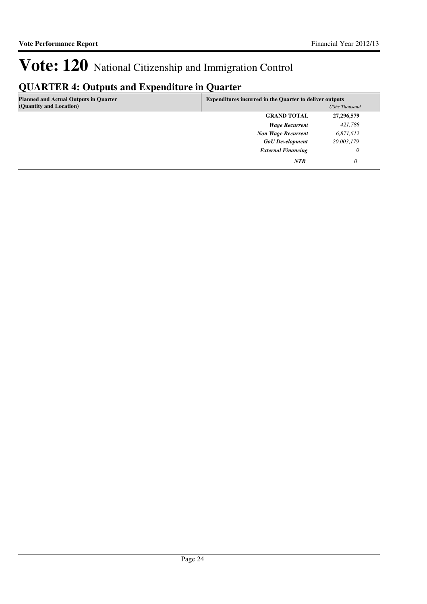## **QUARTER 4: Outputs and Expenditure in Quarter**

| <b>Planned and Actual Outputs in Quarter</b><br>(Quantity and Location) | <b>Expenditures incurred in the Quarter to deliver outputs</b> | UShs Thousand |
|-------------------------------------------------------------------------|----------------------------------------------------------------|---------------|
|                                                                         | <b>GRAND TOTAL</b>                                             | 27,296,579    |
|                                                                         | <b>Wage Recurrent</b>                                          | 421,788       |
|                                                                         | <b>Non Wage Recurrent</b>                                      | 6,871,612     |
|                                                                         | <b>GoU</b> Development                                         | 20,003,179    |
|                                                                         | <b>External Financing</b>                                      | $\theta$      |
|                                                                         | <b>NTR</b>                                                     | 0             |